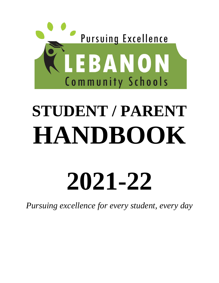

# **STUDENT / PARENT HANDBOOK**

# **2021-22**

*Pursuing excellence for every student, every day*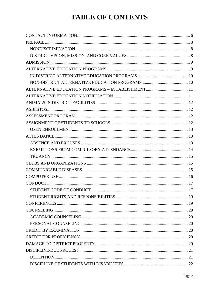# **TABLE OF CONTENTS**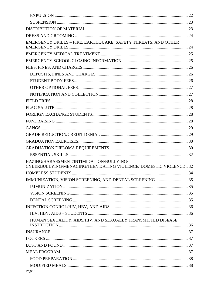| EMERGENCY DRILLS - FIRE, EARTHQUAKE, SAFETY THREATS, AND OTHER                                                |  |
|---------------------------------------------------------------------------------------------------------------|--|
|                                                                                                               |  |
|                                                                                                               |  |
|                                                                                                               |  |
|                                                                                                               |  |
|                                                                                                               |  |
|                                                                                                               |  |
|                                                                                                               |  |
|                                                                                                               |  |
|                                                                                                               |  |
|                                                                                                               |  |
|                                                                                                               |  |
|                                                                                                               |  |
|                                                                                                               |  |
|                                                                                                               |  |
|                                                                                                               |  |
|                                                                                                               |  |
| HAZING/HARASSMENT/INTIMIDATION/BULLYING/<br>CYBERBULLYING/MENACING/TEEN DATING VIOLENCE/ DOMESTIC VIOLENCE 32 |  |
|                                                                                                               |  |
|                                                                                                               |  |
|                                                                                                               |  |
|                                                                                                               |  |
|                                                                                                               |  |
|                                                                                                               |  |
|                                                                                                               |  |
| HUMAN SEXUALITY, AIDS/HIV, AND SEXUALLY TRANSMITTED DISEASE                                                   |  |
|                                                                                                               |  |
|                                                                                                               |  |
|                                                                                                               |  |
|                                                                                                               |  |
|                                                                                                               |  |
|                                                                                                               |  |
|                                                                                                               |  |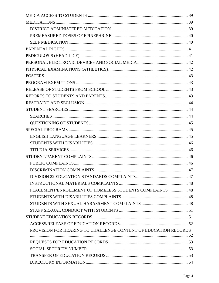| PLACEMENT/ENROLLMENT OF HOMELESS STUDENTS COMPLAINTS  48        |  |
|-----------------------------------------------------------------|--|
|                                                                 |  |
|                                                                 |  |
|                                                                 |  |
|                                                                 |  |
|                                                                 |  |
| PROVISION FOR HEARING TO CHALLENGE CONTENT OF EDUCATION RECORDS |  |
|                                                                 |  |
|                                                                 |  |
|                                                                 |  |
|                                                                 |  |
|                                                                 |  |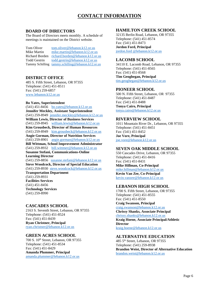## **CONTACT INFORMATION**

#### <span id="page-5-0"></span>**BOARD OF DIRECTORS**

The Board of Directors meets monthly. A schedule of meetings is maintained on the District website.

Tom Oliver [tom.oliver@lebanon.k12.or.us](mailto:tom.oliver@lebanon.k12.or.us) Mike Martin [mike.martin@lebanon.k12.or.us](mailto:mike.martin@lebanon.k12.or.us) Richard Borden [richard.borden@lebanon.k12.or.us](mailto:richard.borden@lebanon.k12.or.us) Todd Gestrin [todd.gestrin@lebanon.k12.or.us](mailto:todd.gestrin@lebanon.k12.or.us) Tammy Schilling [tammy.schilling@lebanon.k12.or.us](mailto:tammy.schilling@lebanon.k12.or.us)

#### **DISTRICT OFFICE**

485 S. Fifth Street, Lebanon, OR 97355 Telephone: (541) 451-8511 Fax: (541) 259-6857 [www.lebanon.k12.or.us](http://www.lebanon.k12.or.us/)

#### **Bo Yates, Superintendent**

 $(541)$  451-8456 [bo.yates@lebanon.k12.or.us](mailto:bo.yates@lebanon.k12.or.us) **Jennifer Meckley, Assistant Superintendent** (541) 259-8949 [jennifer.meckley@lebanon.k12.or.us](mailto:jennifer.meckley@lebanon.k12.or.us) **William Lewis, Director of Business Services** (541) 259-8945 [william.lewis@lebanon.k12.or.us](mailto:william.lewis@lebanon.k12.or.us) **Kim Grousbeck, Director of Human Resources** (541) 259-8949 [kim.grousbeck@lebanon.k12.or.us](mailto:kim.grousbeck@lebanon.k12.or.us) **Angie Gorman, Director of Nutrition Services** (541) 259-8901 [angie.gorman@lebanon.k12.or.us](mailto:angie.gorman@lebanon.k12.or.us) **Bill Wittman, School Improvement Administrator** (541) 259-8932 [bill.wittmer@lebanon.k12.or.us](mailto:bill.wittmer@lebanon.k12.or.us) **Susanne Stefani, Communications-Online Learning Director** (541) 259-8856 [susanne.stefani@lebanon.k12.or.us](mailto:susanne.stefani@lebanon.k12.or.us) **Steve Woodcock, Director of Special Education** (541) 259-8930 [steve.woodcock@lebanon.k12.or.us](mailto:steve.woodcock@lebanon.k12.or.us) **Transportation Department** (541) 259-8931 **Facilities Services** (541) 451-8456 **Technology Services** (541) 259-8990

#### **CASCADES SCHOOL**

2163 S. Seventh Street, Lebanon, OR 97355 Telephone: (541) 451-8524 Fax: (541) 451-8439 **Ryan Christner, Principal** [ryan.christner@lebanon.k12.or.us](mailto:ryan.christner@lebanon.k12.or.us)

#### **GREEN ACRES SCHOOL**

700 S. 10<sup>th</sup> Street, Lebanon, OR 97355 Telephone: (541) 451-8534 Fax: (541) 451-8429 **Amanda Plummer, Principal** [amanda.plummer@lebanon.k12.or.us](mailto:amanda.plummer@lebanon.k12.or.us)

#### **HAMILTON CREEK SCHOOL**

32135 Berlin Road, Lebanon, OR 97355 Telephone: (541) 451-8574 Fax: (541) 451-8473 **Jordon Ford, Principal** jordon.ford [@lebanon.k12.or.us](mailto:geno.bates@lebanon.k12.or.us)

#### **LACOMB SCHOOL**

34110 E. Lacomb Road, Lebanon, OR 97355 Telephone: (541) 451-8565 Fax: (541) 451-8568 **Tim Geoghegan, Principal** [tim.geoghegan@lebanon.k12.or.us](mailto:tim.geoghegan@lebanon.k12.or.us)

#### **PIONEER SCHOOL**

500 N. Fifth Street, Lebanon, OR 97355 Telephone: (541) 451-8487 Fax: (541) 451-8488 **Tonya Cairo, Principal** [tonya.cairo@lebanon.k12.or.us](mailto:tonya.cairo@lebanon.k12.or.us)

#### **RIVERVIEW SCHOOL**

1011 Mountain River Dr., Lebanon, OR 97355 Telephone: (541) 451-8451 Fax: (541) 451-8452 **Joe Vore, Principal** [joe.vore@lebanon.k12.or.us](mailto:joe.vore@lebanon.k12.or.us)

#### **SEVEN OAK MIDDLE SCHOOL**

550 Cascades Drive, Lebanon, OR 97355 Telephone: (541) 451-8416 Fax: (541) 451-8431 **Mike Hillman, Co-Principal** [mike.hillman@lebanon.k12.or.us](mailto:mike.hillman@lebanon.k12.or.us) **Kevin Van Zee, Co-Principal**

[kevin.vanzee@lebanon.k12.or.us](mailto:kevin.vanzee@lebanon.k12.or.us)

#### **LEBANON HIGH SCHOOL**

1700 S. Fifth Street, Lebanon, OR 97355 Telephone: (541) 451-8555 Fax: (541) 451-8550 **Craig Swanson, Principal** [craig.swanson@lebanon.k12.or.us](mailto:craig.swanson@lebanon.k12.or.us)

**Chrissy Shanks, Associate Principal** [chrissy.shanks@lebanon.k12.or.us](mailto:chrissy.shanks@lebanon.k12.or.us) **Kraig Hoene, Associate Principal/Athletic Director**

[kraig.hoene@lebanon.k12.or.us](mailto:kraig.hoene@lebanon.k12.or.us)

#### **ALTERNATIVE EDUCATION**

485 5th Street, Lebanon, OR 97355 Telephone: (541) 259-8938 **Brandon Weist, Director of Alternative Education** [brandon.weist@lebanon.k12.or.us](mailto:brandon.weist@lebanon.k12.or.us)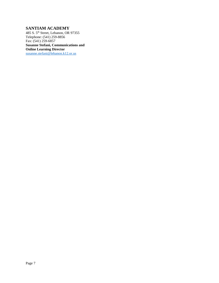## **SANTIAM ACADEMY**

485 S. 5th Street, Lebanon, OR 97355 Telephone: (541) 259-8856 Fax: (541) 259-6857 **Susanne Stefani, Communications and Online Learning Director** [susanne.stefani@lebanon.k12.or.us](mailto:susanne.stefani@lebanon.k12.or.us)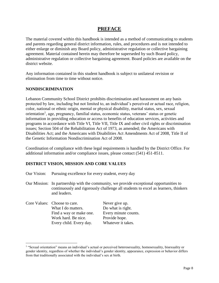## **PREFACE**

<span id="page-7-0"></span>The material covered within this handbook is intended as a method of communicating to students and parents regarding general district information, rules, and procedures and is not intended to either enlarge or diminish any Board policy, administrative regulation or collective bargaining agreement. Material contained herein may therefore be superseded by such Board policy, administrative regulation or collective bargaining agreement. Board policies are available on the district website.

Any information contained in this student handbook is subject to unilateral revision or elimination from time to time without notice.

#### <span id="page-7-1"></span>**NONDISCRIMINATION**

 $\overline{a}$ 

Lebanon Community School District prohibits discrimination and harassment on any basis protected by law, including but not limited to, an individual's perceived or actual race, religion, color, national or ethnic origin, mental or physical disability, marital status, sex, sexual orientation<sup>1</sup>, age, pregnancy, familial status, economic status, veterans' status or genetic information in providing education or access to benefits of education services, activities and programs in accordance with Title VI, Title VII, Title IX and other civil rights or discrimination issues; Section 504 of the Rehabilitation Act of 1973, as amended; the Americans with Disabilities Act; and the Americans with Disabilities Act Amendments Act of 2008, Title II of the Genetic Information Nondiscrimination Act of 2008.

Coordination of compliance with these legal requirements is handled by the District Office. For additional information and/or compliance issues, please contact (541) 451-8511.

#### <span id="page-7-2"></span>**DISTRICT VISION, MISSION AND CORE VALUES**

- Our Vision: Pursuing excellence for every student, every day
- Our Mission: In partnership with the community, we provide exceptional opportunities to continuously and rigorously challenge all students to excel as learners, thinkers and leaders.

| Core Values: Choose to care. | Never give up.       |
|------------------------------|----------------------|
| What I do matters.           | Do what is right.    |
| Find a way or make one.      | Every minute counts. |
| Work hard. Be nice.          | Provide hope.        |
| Every child. Every day.      | Whatever it takes.   |

<sup>&</sup>lt;sup>1</sup> "Sexual orientation" means an individual's actual or perceived heterosexuality, homosexuality, bisexuality or gender identity, regardless of whether the individual's gender identity, appearance, expression or behavior differs from that traditionally associated with the individual's sex at birth.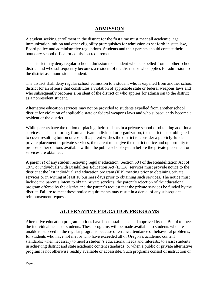## **ADMISSION**

<span id="page-8-0"></span>A student seeking enrollment in the district for the first time must meet all academic, age, immunization, tuition and other eligibility prerequisites for admission as set forth in state law, Board policy and administrative regulations. Students and their parents should contact their boundary school office for admission requirements.

The district may deny regular school admission to a student who is expelled from another school district and who subsequently becomes a resident of the district or who applies for admission to the district as a nonresident student.

The district shall deny regular school admission to a student who is expelled from another school district for an offense that constitutes a violation of applicable state or federal weapons laws and who subsequently becomes a resident of the district or who applies for admission to the district as a nonresident student.

Alternative education services may not be provided to students expelled from another school district for violation of applicable state or federal weapons laws and who subsequently become a resident of the district.

While parents have the option of placing their students in a private school or obtaining additional services, such as tutoring, from a private individual or organization, the district is not obligated to cover resulting tuition or costs. If a parent wishes the district to consider a publicly-funded private placement or private services, the parent must give the district notice and opportunity to propose other options available within the public school system before the private placement or services are obtained.

A parent(s) of any student receiving regular education, Section 504 of the Rehabilitation Act of 1973 or Individuals with Disabilities Education Act (IDEA) services must provide notice to the district at the last individualized education program (IEP) meeting prior to obtaining private services or in writing at least 10 business days prior to obtaining such services. The notice must include the parent's intent to obtain private services, the parent's rejection of the educational program offered by the district and the parent's request that the private services be funded by the district. Failure to meet these notice requirements may result in a denial of any subsequent reimbursement request.

## **ALTERNATIVE EDUCATION PROGRAMS**

<span id="page-8-1"></span>Alternative education program options have been established and approved by the Board to meet the individual needs of students. These programs will be made available to students who are unable to succeed in the regular programs because of erratic attendance or behavioral problems; for students who have not met or who have exceeded all of Oregon's academic content standards; when necessary to meet a student's educational needs and interests; to assist students in achieving district and state academic content standards; or when a public or private alternative program is not otherwise readily available or accessible. Such programs consist of instruction or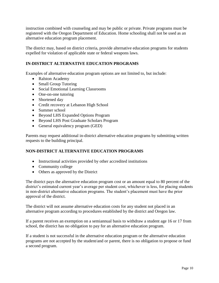instruction combined with counseling and may be public or private. Private programs must be registered with the Oregon Department of Education. Home schooling shall not be used as an alternative education program placement.

The district may, based on district criteria, provide alternative education programs for students expelled for violation of applicable state or federal weapons laws.

## <span id="page-9-0"></span>**IN-DISTRICT ALTERNATIVE EDUCATION PROGRAMS**

Examples of alternative education program options are not limited to, but include:

- Ralston Academy
- Small Group Tutoring
- Social Emotional Learning Classrooms
- One-on-one tutoring
- Shortened day
- Credit recovery at Lebanon High School
- Summer school
- Beyond LHS Expanded Options Program
- Beyond LHS Post Graduate Scholars Program
- General equivalency program (GED)

Parents may request additional in-district alternative education programs by submitting written requests to the building principal.

#### <span id="page-9-1"></span>**NON-DISTRICT ALTERNATIVE EDUCATION PROGRAMS**

- Instructional activities provided by other accredited institutions
- Community college
- Others as approved by the District

The district pays the alternative education program cost or an amount equal to 80 percent of the district's estimated current year's average per student cost, whichever is less, for placing students in non-district alternative education programs. The student's placement must have the prior approval of the district.

The district will not assume alternative education costs for any student not placed in an alternative program according to procedures established by the district and Oregon law.

If a parent receives an exemption on a semiannual basis to withdraw a student age 16 or 17 from school, the district has no obligation to pay for an alternative education program.

If a student is not successful in the alternative education program or the alternative education programs are not accepted by the student/and or parent, there is no obligation to propose or fund a second program.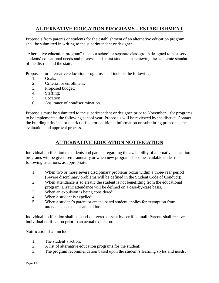## <span id="page-10-0"></span>**ALTERNATIVE EDUCATION PROGRAMS – ESTABLISHMENT**

Proposals from parents or students for the establishment of an alternative education program shall be submitted in writing to the superintendent or designee.

"Alternative education program" means a school or separate class group designed to best serve students' educational needs and interests and assist students in achieving the academic standards of the district and the state.

Proposals for alternative education programs shall include the following:

- 1. Goals;
- 2. Criteria for enrollment;
- 3. Proposed budget;
- 4. Staffing;
- 5. Location;
- 6. Assurance of nondiscrimination.

Proposals must be submitted to the superintendent or designee prior to November 1 for programs to be implemented the following school year. Proposals will be reviewed by the district. Contact the building principal or district office for additional information on submitting proposals, the evaluation and approval process.

# **ALTERNATIVE EDUCATION NOTIFICATION**

<span id="page-10-1"></span>Individual notification to students and parents regarding the availability of alternative education programs will be given semi-annually or when new programs become available under the following situations, as appropriate:

- 1. When two or more severe disciplinary problems occur within a three-year period (Severe disciplinary problems will be defined in the Student Code of Conduct);
- 2. When attendance is so erratic the student is not benefitting from the educational program (Erratic attendance will be defined on a case-by-case basis.);
- 3. When an expulsion is being considered;
- 4. When a student is expelled;
- 5. When a student's parent or emancipated student applies for exemption from attendance on a semi-annual basis.

Individual notification shall be hand-delivered or sent by certified mail. Parents shall receive individual notification prior to an actual expulsion.

Notification shall include:

- 1. The student's action;
- 2. A list of alternative education programs for the student;
- 3. The program recommendation based upon the student's learning styles and needs;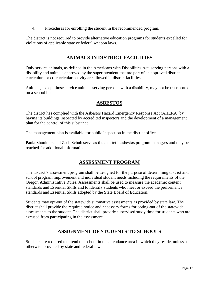4. Procedures for enrolling the student in the recommended program.

<span id="page-11-0"></span>The district is not required to provide alternative education programs for students expelled for violations of applicable state or federal weapon laws.

## **ANIMALS IN DISTRICT FACILITIES**

Only service animals, as defined in the Americans with Disabilities Act, serving persons with a disability and animals approved by the superintendent that are part of an approved district curriculum or co-curricular activity are allowed in district facilities.

<span id="page-11-1"></span>Animals, except those service animals serving persons with a disability, may not be transported on a school bus.

## **ASBESTOS**

The district has complied with the Asbestos Hazard Emergency Response Act (AHERA) by having its buildings inspected by accredited inspectors and the development of a management plan for the control of this substance.

The management plan is available for public inspection in the district office.

<span id="page-11-2"></span>Paula Shoulders and Zach Schuh serve as the district's asbestos program managers and may be reached for additional information.

## **ASSESSMENT PROGRAM**

The district's assessment program shall be designed for the purpose of determining district and school program improvement and individual student needs including the requirements of the Oregon Administrative Rules. Assessments shall be used to measure the academic content standards and Essential Skills and to identify students who meet or exceed the performance standards and Essential Skills adopted by the State Board of Education.

Students may opt-out of the statewide summative assessments as provided by state law. The district shall provide the required notice and necessary forms for opting-out of the statewide assessments to the student. The district shall provide supervised study time for students who are excused from participating in the assessment.

## **ASSIGNMENT OF STUDENTS TO SCHOOLS**

<span id="page-11-3"></span>Students are required to attend the school in the attendance area in which they reside, unless as otherwise provided by state and federal law.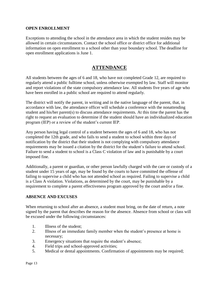#### <span id="page-12-0"></span>**OPEN ENROLLMENT**

Exceptions to attending the school in the attendance area in which the student resides may be allowed in certain circumstances. Contact the school office or district office for additional information on open enrollment to a school other than your boundary school. The deadline for open enrollment applications is June 1.

## **ATTENDANCE**

<span id="page-12-1"></span>All students between the ages of 6 and 18, who have not completed Grade 12, are required to regularly attend a public fulltime school, unless otherwise exempted by law. Staff will monitor and report violations of the state compulsory attendance law. All students five years of age who have been enrolled in a public school are required to attend regularly.

The district will notify the parent, in writing and in the native language of the parent, that, in accordance with law, the attendance officer will schedule a conference with the nonattending student and his/her parent(s) to discuss attendance requirements. At this time the parent has the right to request an evaluation to determine if the student should have an individualized education program (IEP) or a review of the student's current IEP.

Any person having legal control of a student between the ages of 6 and 18, who has not completed the 12th grade, and who fails to send a student to school within three days of notification by the district that their student is not complying with compulsory attendance requirements may be issued a citation by the district for the student's failure to attend school. Failure to send a student to school is a Class C violation of law and is punishable by a court imposed fine.

Additionally, a parent or guardian, or other person lawfully charged with the care or custody of a student under 15 years of age, may be found by the courts to have committed the offense of failing to supervise a child who has not attended school as required. Failing to supervise a child is a Class A violation. Violations, as determined by the court, may be punishable by a requirement to complete a parent effectiveness program approved by the court and/or a fine.

#### <span id="page-12-2"></span>**ABSENCE AND EXCUSES**

When returning to school after an absence, a student must bring, on the date of return, a note signed by the parent that describes the reason for the absence. Absence from school or class will be excused under the following circumstances:

- 1. Illness of the student;
- 2. Illness of an immediate family member when the student's presence at home is necessary;
- 3. Emergency situations that require the student's absence;
- 4. Field trips and school-approved activities;
- 5. Medical or dental appointments. Confirmation of appointments may be required;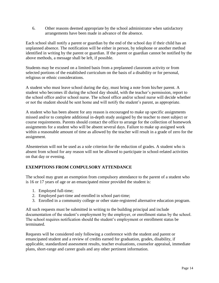6. Other reasons deemed appropriate by the school administrator when satisfactory arrangements have been made in advance of the absence.

Each school shall notify a parent or guardian by the end of the school day if their child has an unplanned absence. The notification will be either in person, by telephone or another method identified in writing by the parent or guardian. If the parent or guardian cannot be notified by the above methods, a message shall be left, if possible.

Students may be excused on a limited basis from a preplanned classroom activity or from selected portions of the established curriculum on the basis of a disability or for personal, religious or ethnic considerations.

A student who must leave school during the day, must bring a note from his/her parent. A student who becomes ill during the school day should, with the teacher's permission, report to the school office and/or school nurse. The school office and/or school nurse will decide whether or not the student should be sent home and will notify the student's parent, as appropriate.

A student who has been absent for any reason is encouraged to make up specific assignments missed and/or to complete additional in-depth study assigned by the teacher to meet subject or course requirements. Parents should contact the office to arrange for the collection of homework assignments for a student who will be absent several days. Failure to make up assigned work within a reasonable amount of time as allowed by the teacher will result in a grade of zero for the assignment.

Absenteeism will not be used as a sole criterion for the reduction of grades. A student who is absent from school for any reason will not be allowed to participate in school-related activities on that day or evening.

## <span id="page-13-0"></span>**EXEMPTIONS FROM COMPULSORY ATTENDANCE**

The school may grant an exemption from compulsory attendance to the parent of a student who is 16 or 17 years of age or an emancipated minor provided the student is:

- 1. Employed full-time;
- 2. Employed part-time and enrolled in school part-time;
- 3. Enrolled in a community college or other state-registered alternative education program.

All such requests must be submitted in writing to the building principal and include documentation of the student's employment by the employer, or enrollment status by the school. The school requires notification should the student's employment or enrollment status be terminated.

Requests will be considered only following a conference with the student and parent or emancipated student and a review of credits earned for graduation, grades, disability, if applicable, standardized assessment results, teacher evaluations, counselor appraisal, immediate plans, short-range and career goals and any other pertinent information.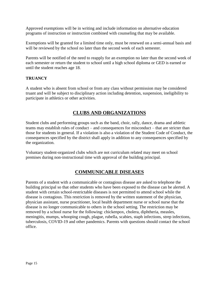Approved exemptions will be in writing and include information on alternative education programs of instruction or instruction combined with counseling that may be available.

Exemptions will be granted for a limited time only, must be renewed on a semi-annual basis and will be reviewed by the school no later than the second week of each semester.

Parents will be notified of the need to reapply for an exemption no later than the second week of each semester or return the student to school until a high school diploma or GED is earned or until the student reaches age 18.

#### <span id="page-14-0"></span>**TRUANCY**

A student who is absent from school or from any class without permission may be considered truant and will be subject to disciplinary action including detention, suspension, ineligibility to participate in athletics or other activities.

## **CLUBS AND ORGANIZATIONS**

<span id="page-14-1"></span>Student clubs and performing groups such as the band, choir, rally, dance, drama and athletic teams may establish rules of conduct – and consequences for misconduct – that are stricter than those for students in general. If a violation is also a violation of the Student Code of Conduct, the consequences specified by the district shall apply in addition to any consequences specified by the organization.

<span id="page-14-2"></span>Voluntary student-organized clubs which are not curriculum related may meet on school premises during non-instructional time with approval of the building principal.

## **COMMUNICABLE DISEASES**

Parents of a student with a communicable or contagious disease are asked to telephone the building principal so that other students who have been exposed to the disease can be alerted. A student with certain school-restrictable diseases is not permitted to attend school while the disease is contagious. This restriction is removed by the written statement of the physician, physician assistant, nurse practitioner, local health department nurse or school nurse that the disease is no longer communicable to others in the school setting. The restriction may be removed by a school nurse for the following: chickenpox, cholera, diphtheria, measles, meningitis, mumps, whooping cough, plague, rubella, scabies, staph infections, strep infections, tuberculosis, COVID-19 and other pandemics. Parents with questions should contact the school office.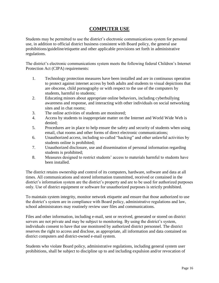## **COMPUTER USE**

<span id="page-15-0"></span>Students may be permitted to use the district's electronic communications system for personal use, in addition to official district business consistent with Board policy, the general use prohibitions/guideline/etiquette and other applicable provisions set forth in administrative regulations.

The district's electronic communications system meets the following federal Children's Internet Protection Act (CIPA) requirements:

- 1. Technology protection measures have been installed and are in continuous operation to protect against internet access by both adults and students to visual depictions that are obscene, child pornography or with respect to the use of the computers by students, harmful to students;
- 2. Educating minors about appropriate online behaviors, including cyberbullying awareness and response, and interacting with other individuals on social networking sites and in chat rooms;
- 3. The online activities of students are monitored;
- 4. Access by students to inappropriate matter on the Internet and World Wide Web is denied;
- 5. Procedures are in place to help ensure the safety and security of students when using email, chat rooms and other forms of direct electronic communications;
- 6. Unauthorized access, including so-called "hacking" and other unlawful activities by students online is prohibited;
- 7. Unauthorized disclosure, use and dissemination of personal information regarding students is prohibited;
- 8. Measures designed to restrict students' access to materials harmful to students have been installed.

The district retains ownership and control of its computers, hardware, software and data at all times. All communications and stored information transmitted, received or contained in the district's information system are the district's property and are to be used for authorized purposes only. Use of district equipment or software for unauthorized purposes is strictly prohibited.

To maintain system integrity, monitor network etiquette and ensure that those authorized to use the district's system are in compliance with Board policy, administrative regulations and law, school administrators may routinely review user files and communications.

Files and other information, including e-mail, sent or received, generated or stored on district servers are not private and may be subject to monitoring. By using the district's system, individuals consent to have that use monitored by authorized district personnel. The district reserves the right to access and disclose, as appropriate, all information and data contained on district computers and district-owned e-mail system.

Students who violate Board policy, administrative regulations, including general system user prohibitions, shall be subject to discipline up to and including expulsion and/or revocation of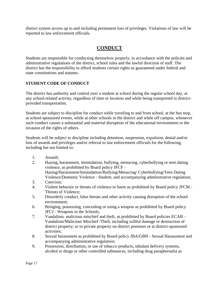<span id="page-16-0"></span>district system access up to and including permanent loss of privileges. Violations of law will be reported to law enforcement officials.

# **CONDUCT**

Students are responsible for conducting themselves properly, in accordance with the policies and administrative regulations of the district, school rules and the lawful direction of staff. The district has the responsibility to afford students certain rights as guaranteed under federal and state constitutions and statutes.

#### <span id="page-16-1"></span>**STUDENT CODE OF CONDUCT**

The district has authority and control over a student at school during the regular school day, at any school-related activity, regardless of time or location and while being transported in districtprovided transportation.

Students are subject to discipline for conduct while traveling to and from school, at the bus stop, at school-sponsored events, while at other schools in the district and while off campus, whenever such conduct causes a substantial and material disruption of the educational environment or the invasion of the rights of others.

Students will be subject to discipline including detention, suspension, expulsion, denial and/or loss of awards and privileges and/or referral to law enforcement officials for the following, including but not limited to:

- 1. Assault;
- 2. Hazing, harassment, intimidation, bullying, menacing, cyberbullying or teen dating violence, as prohibited by Board policy JFCF – Hazing/Harassment/Intimidation/Bullying/Menacing/ Cyberbullying/Teen Dating Violence/Domestic Violence - Student, and accompanying administrative regulation;
- 3. Coercion;
- 4. Violent behavior or threats of violence or harm as prohibited by Board policy JFCM Threats of Violence;
- 5. Disorderly conduct, false threats and other activity causing disruption of the school environment;
- 6. Bringing, possessing, concealing or using a weapon as prohibited by Board policy JFCJ - Weapons in the Schools;
- 7. Vandalism, malicious mischief and theft, as prohibited by Board policies ECAB Vandalism/Malicious Mischief /Theft, including willful damage or destruction of district property; or to private property on district premises or at district-sponsored activities;
- 8. Sexual harassment as prohibited by Board policy JBA/GBN Sexual Harassment and accompanying administrative regulation;
- 9. Possession, distribution, or use of tobacco products, inhalant delivery systems, alcohol or drugs or other controlled substances, including drug paraphernalia as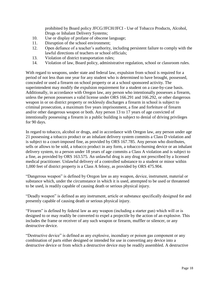prohibited by Board policy JFCG/JFCH/JFCI - Use of Tobacco Products, Alcohol, Drugs or Inhalant Delivery Systems;

- 10. Use or display of profane of obscene language;
- 11. Disruption of the school environment;
- 12. Open defiance of a teacher's authority, including persistent failure to comply with the lawful directions of teachers or school officials;
- 13. Violation of district transportation rules;
- 14. Violation of law, Board policy, administrative regulation, school or classroom rules.

With regard to weapons, under state and federal law, expulsion from school is required for a period of not less than one year for any student who is determined to have brought, possessed, concealed or used a firearm on school property or at a school sponsored activity. The superintendent may modify the expulsion requirement for a student on a case-by-case basis. Additionally, in accordance with Oregon law, any person who intentionally possesses a firearm, unless the person possesses a valid license under ORS 166.291 and 166.292, or other dangerous weapon in or on district property or recklessly discharges a firearm in school is subject to criminal prosecution, a maximum five years imprisonment, a fine and forfeiture of firearm and/or other dangerous weapon or both. Any person 13 to 17 years of age convicted of intentionally possessing a firearm in a public building is subject to denial of driving privileges for 90 days.

In regard to tobacco, alcohol or drugs, and in accordance with Oregon law, any person under age 21 possessing a tobacco product or an inhalant delivery system commits a Class D violation and is subject to a court-imposed fine, as provided by ORS 167.785. Any person who distributes, sells or allows to be sold, a tobacco product in any form, a tobacco-burning device or an inhalant delivery system, to a person under 18 years of age commits a Class A violation and is subject to a fine, as provided by ORS 163.575. An unlawful drug is any drug not prescribed by a licensed medical practitioner. Unlawful delivery of a controlled substance to a student or minor within 1,000 feet of district property is a Class A felony, as provided by ORS 475.904.

"Dangerous weapon" is defined by Oregon law as any weapon, device, instrument, material or substance which, under the circumstance in which it is used, attempted to be used or threatened to be used, is readily capable of causing death or serious physical injury.

"Deadly weapon" is defined as any instrument, article or substance specifically designed for and presently capable of causing death or serious physical injury.

"Firearm" is defined by federal law as any weapon (including a starter gun) which will or is designed to or may readily be converted to expel a projectile by the action of an explosive. This includes the frame or receiver of any such weapon or firearm, muffler or silencer, or any destructive device.

"Destructive device" is defined as any explosive, incendiary or poison gas component or any combination of parts either designed or intended for use in converting any device into a destructive device or from which a destructive device may be readily assembled. A destructive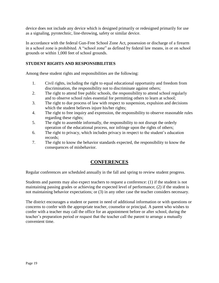device does not include any device which is designed primarily or redesigned primarily for use as a signaling, pyrotechnic, line-throwing, safety or similar device.

In accordance with the federal Gun-Free School Zone Act, possession or discharge of a firearm in a school zone is prohibited. A "school zone" as defined by federal law means, in or on school grounds or within 1,000 feet of school grounds.

## <span id="page-18-0"></span>**STUDENT RIGHTS AND RESPONSIBILITIES**

Among these student rights and responsibilities are the following:

- 1. Civil rights, including the right to equal educational opportunity and freedom from discrimination, the responsibility not to discriminate against others;
- 2. The right to attend free public schools, the responsibility to attend school regularly and to observe school rules essential for permitting others to learn at school;
- 3. The right to due process of law with respect to suspension, expulsion and decisions which the student believes injure his/her rights;
- 4. The right to free inquiry and expression, the responsibility to observe reasonable rules regarding these rights;
- 5. The right to assemble informally, the responsibility to not disrupt the orderly operation of the educational process, nor infringe upon the rights of others;
- 6. The right to privacy, which includes privacy in respect to the student's education records;
- 7. The right to know the behavior standards expected, the responsibility to know the consequences of misbehavior.

## **CONFERENCES**

<span id="page-18-1"></span>Regular conferences are scheduled annually in the fall and spring to review student progress.

Students and parents may also expect teachers to request a conference: (1) if the student is not maintaining passing grades or achieving the expected level of performance; (2) if the student is not maintaining behavior expectations; or (3) in any other case the teacher considers necessary.

The district encourages a student or parent in need of additional information or with questions or concerns to confer with the appropriate teacher, counselor or principal. A parent who wishes to confer with a teacher may call the office for an appointment before or after school, during the teacher's preparation period or request that the teacher call the parent to arrange a mutually convenient time.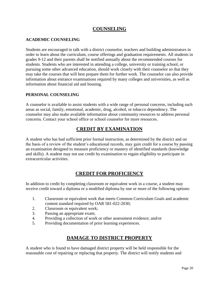## **COUNSELING**

## <span id="page-19-1"></span><span id="page-19-0"></span>**ACADEMIC COUNSELING**

Students are encouraged to talk with a district counselor, teachers and building administrators in order to learn about the curriculum, course offerings and graduation requirements. All students in grades 9-12 and their parents shall be notified annually about the recommended courses for students. Students who are interested in attending a college, university or training school, or pursuing some other advanced education, should work closely with their counselor so that they may take the courses that will best prepare them for further work. The counselor can also provide information about entrance examinations required by many colleges and universities, as well as information about financial aid and housing.

#### <span id="page-19-2"></span>**PERSONAL COUNSELING**

A counselor is available to assist students with a wide range of personal concerns, including such areas as social, family, emotional, academic, drug, alcohol, or tobacco dependency. The counselor may also make available information about community resources to address personal concerns. Contact your school office or school counselor for more resources.

## **CREDIT BY EXAMINATION**

<span id="page-19-3"></span>A student who has had sufficient prior formal instruction, as determined by the district and on the basis of a review of the student's educational records, may gain credit for a course by passing an examination designed to measure proficiency or mastery of identified standards (knowledge and skills). A student may not use credit by examination to regain eligibility to participate in extracurricular activities.

## **CREDIT FOR PROFICIENCY**

<span id="page-19-4"></span>In addition to credit by completing classroom or equivalent work in a course, a student may receive credit toward a diploma or a modified diploma by one or more of the following options:

- 1. Classroom or equivalent work that meets Common Curriculum Goals and academic content standard required by OAR 581-022-2030;
- 2. Classroom or equivalent work;
- 3. Passing an appropriate exam;
- 4. Providing a collection of work or other assessment evidence; and/or
- <span id="page-19-5"></span>5. Providing documentation of prior learning experiences.

## **DAMAGE TO DISTRICT PROPERTY**

A student who is found to have damaged district property will be held responsible for the reasonable cost of repairing or replacing that property. The district will notify students and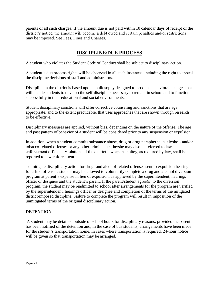parents of all such charges. If the amount due is not paid within 10 calendar days of receipt of the district's notice, the amount will become a debt owed and certain penalties and/or restrictions may be imposed. See Fees, Fines and Charges.

## **DISCIPLINE/DUE PROCESS**

<span id="page-20-0"></span>A student who violates the Student Code of Conduct shall be subject to disciplinary action.

A student's due process rights will be observed in all such instances, including the right to appeal the discipline decisions of staff and administrators.

Discipline in the district is based upon a philosophy designed to produce behavioral changes that will enable students to develop the self-discipline necessary to remain in school and to function successfully in their educational and social environments.

Student disciplinary sanctions will offer corrective counseling and sanctions that are age appropriate, and to the extent practicable, that uses approaches that are shown through research to be effective.

Disciplinary measures are applied, without bias, depending on the nature of the offense. The age and past pattern of behavior of a student will be considered prior to any suspension or expulsion.

In addition, when a student commits substance abuse, drug or drug paraphernalia, alcohol- and/or tobacco-related offenses or any other criminal act, he/she may also be referred to law enforcement officials. Violations of the district's weapons policy, as required by law, shall be reported to law enforcement.

To mitigate disciplinary action for drug- and alcohol-related offenses sent to expulsion hearing, for a first offense a student may be allowed to voluntarily complete a drug and alcohol diversion program at parent's expense in lieu of expulsion, as approved by the superintendent, hearings officer or designee and the student's parent. If the parent/student agree(s) to the diversion program, the student may be readmitted to school after arrangements for the program are verified by the superintendent, hearings officer or designee and completion of the terms of the mitigated district-imposed discipline. Failure to complete the program will result in imposition of the unmitigated terms of the original disciplinary action.

## <span id="page-20-1"></span>**DETENTION**

A student may be detained outside of school hours for disciplinary reasons, provided the parent has been notified of the detention and, in the case of bus students, arrangements have been made for the student's transportation home. In cases where transportation is required, 24-hour notice will be given so that transportation may be arranged.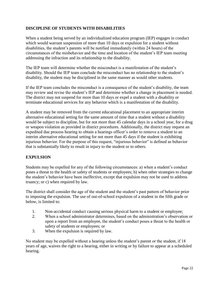## <span id="page-21-0"></span>**DISCIPLINE OF STUDENTS WITH DISABILITIES**

When a student being served by an individualized education program (IEP) engages in conduct which would warrant suspension of more than 10 days or expulsion for a student without disabilities, the student's parents will be notified immediately (within 24 hours) of the circumstances of the misbehavior and the time and location of the student's IEP team meeting addressing the infraction and its relationship to the disability.

The IEP team will determine whether the misconduct is a manifestation of the student's disability. Should the IEP team conclude the misconduct has no relationship to the student's disability, the student may be disciplined in the same manner as would other students.

If the IEP team concludes the misconduct is a consequence of the student's disability, the team may review and revise the student's IEP and determine whether a change in placement is needed. The district may not suspend for more than 10 days or expel a student with a disability or terminate educational services for any behavior which is a manifestation of the disability.

A student may be removed from the current educational placement to an appropriate interim alternative educational setting for the same amount of time that a student without a disability would be subject to discipline, but for not more than 45 calendar days in a school year, for a drug or weapon violation as provided in district procedures. Additionally, the district may request an expedited due process hearing to obtain a hearings officer's order to remove a student to an interim alternative educational setting for not more than 45 days if the student is exhibiting injurious behavior. For the purpose of this request, "injurious behavior" is defined as behavior that is substantially likely to result in injury to the student or to others.

#### <span id="page-21-1"></span>**EXPULSION**

Students may be expelled for any of the following circumstances: a) when a student's conduct poses a threat to the health or safety of students or employees; b) when other strategies to change the student's behavior have been ineffective, except that expulsion may not be used to address truancy; or c) when required by law.

The district shall consider the age of the student and the student's past pattern of behavior prior to imposing the expulsion. The use of out-of-school expulsion of a student in the fifth grade or below, is limited to:

- 1. Non-accidental conduct causing serious physical harm to a student or employee;
- 2. When a school administrator determines, based on the administration's observation or upon a report from an employee, the student's conduct poses a threat to the health or safety of students or employees; or
- 3. When the expulsion is required by law.

No student may be expelled without a hearing unless the student's parent or the student, if 18 years of age, waives the right to a hearing, either in writing or by failure to appear at a scheduled hearing.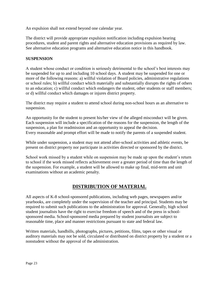An expulsion shall not extend beyond one calendar year.

The district will provide appropriate expulsion notification including expulsion hearing procedures, student and parent rights and alternative education provisions as required by law. See alternative education programs and alternative education notice in this handbook.

#### <span id="page-22-0"></span>**SUSPENSION**

A student whose conduct or condition is seriously detrimental to the school's best interests may be suspended for up to and including 10 school days. A student may be suspended for one or more of the following reasons: a) willful violation of Board policies, administrative regulations or school rules; b) willful conduct which materially and substantially disrupts the rights of others to an education; c) willful conduct which endangers the student, other students or staff members; or d) willful conduct which damages or injures district property.

The district may require a student to attend school during non-school hours as an alternative to suspension.

An opportunity for the student to present his/her view of the alleged misconduct will be given. Each suspension will include a specification of the reasons for the suspension, the length of the suspension, a plan for readmission and an opportunity to appeal the decision. Every reasonable and prompt effort will be made to notify the parents of a suspended student.

While under suspension, a student may not attend after-school activities and athletic events, be present on district property nor participate in activities directed or sponsored by the district.

School work missed by a student while on suspension may be made up upon the student's return to school if the work missed reflects achievement over a greater period of time than the length of the suspension. For example, a student will be allowed to make up final, mid-term and unit examinations without an academic penalty.

## **DISTRIBUTION OF MATERIAL**

<span id="page-22-1"></span>All aspects of K-8 school-sponsored publications, including web pages, newspapers and/or yearbooks, are completely under the supervision of the teacher and principal. Students may be required to submit such publications to the administration for approval. Generally, high school student journalists have the right to exercise freedom of speech and of the press in schoolsponsored media. School-sponsored media prepared by student journalists are subject to reasonable time, place and manner restrictions pursuant to state and federal law.

Written materials, handbills, photographs, pictures, petitions, films, tapes or other visual or auditory materials may not be sold, circulated or distributed on district property by a student or a nonstudent without the approval of the administration.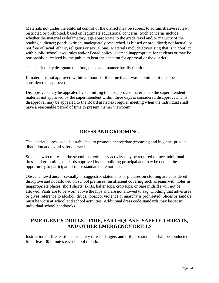Materials not under the editorial control of the district may be subject to administrative review, restricted or prohibited, based on legitimate educational concerns. Such concerns include whether the material is defamatory; age appropriate to the grade level and/or maturity of the reading audience; poorly written, inadequately researched, is biased or prejudiced; not factual; or not free of racial, ethnic, religious or sexual bias. Materials include advertising that is in conflict with public school laws, rules and/or Board policy, deemed inappropriate for students or may be reasonably perceived by the public to bear the sanction for approval of the district.

The district may designate the time, place and manner for distribution.

If material is not approved within 24 hours of the time that it was submitted, it must be considered disapproved.

Disapprovals may be appealed by submitting the disapproved materials to the superintendent; material not approved by the superintendent within three days is considered disapproved. This disapproval may be appealed to the Board at its next regular meeting when the individual shall have a reasonable period of time to present his/her viewpoint.

## **DRESS AND GROOMING**

<span id="page-23-0"></span>The district's dress code is established to promote appropriate grooming and hygiene, prevent disruption and avoid safety hazards.

Students who represent the school in a voluntary activity may be required to meet additional dress and grooming standards approved by the building principal and may be denied the opportunity to participate if those standards are not met.

Obscene, lewd and/or sexually or suggestive statements or pictures on clothing are considered disruptive and not allowed on school premises. Insufficient covering such as jeans with holes in inappropriate places, short shorts, skirts, halter tops, crop tops, or bare midriffs will not be allowed. Pants are to be worn above the hips and are not allowed to sag. Clothing that advertises or gives reference to alcohol, drugs, tobacco, violence or anarchy is prohibited. Shoes or sandals must be worn at school and school activities. Additional dress code standards may be set in individual school handbooks.

# <span id="page-23-1"></span>**EMERGENCY DRILLS – FIRE, EARTHQUAKE, SAFETY THREATS, AND OTHER EMERGENCY DRILLS**

Instruction on fire, earthquake, safety threats dangers and drills for students shall be conducted for at least 30 minutes each school month.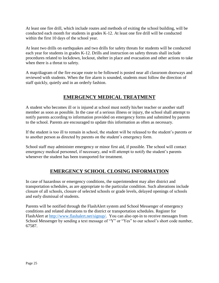At least one fire drill, which include routes and methods of exiting the school building, will be conducted each month for students in grades K-12. At least one fire drill will be conducted within the first 10 days of the school year.

At least two drills on earthquakes and two drills for safety threats for students will be conducted each year for students in grades K-12. Drills and instruction on safety threats shall include procedures related to lockdown, lockout, shelter in place and evacuation and other actions to take when there is a threat to safety.

A map/diagram of the fire escape route to be followed is posted near all classroom doorways and reviewed with students. When the fire alarm is sounded, students must follow the direction of staff quickly, quietly and in an orderly fashion.

## **EMERGENCY MEDICAL TREATMENT**

<span id="page-24-0"></span>A student who becomes ill or is injured at school must notify his/her teacher or another staff member as soon as possible. In the case of a serious illness or injury, the school shall attempt to notify parents according to information provided on emergency forms and submitted by parents to the school. Parents are encouraged to update this information as often as necessary.

If the student is too ill to remain in school, the student will be released to the student's parents or to another person as directed by parents on the student's emergency form.

School staff may administer emergency or minor first aid, if possible. The school will contact emergency medical personnel, if necessary, and will attempt to notify the student's parents whenever the student has been transported for treatment.

## **EMERGENCY SCHOOL CLOSING INFORMATION**

<span id="page-24-1"></span>In case of hazardous or emergency conditions, the superintendent may alter district and transportation schedules, as are appropriate to the particular condition. Such alterations include closure of all schools, closure of selected schools or grade levels, delayed openings of schools and early dismissal of students.

Parents will be notified through the FlashAlert system and School Messenger of emergency conditions and related alterations to the district or transportation schedules. Register for FlashAlert at [http://www.flashalert.net/signup/.](http://www.flashalert.net/signup/) You can also opt-in to receive messages from School Messenger by sending a text message of "Y" or "Yes" to our school's short code number, 67587.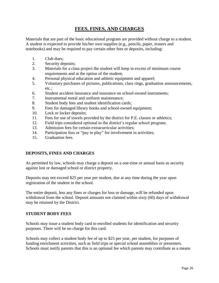## **FEES, FINES, AND CHARGES**

<span id="page-25-0"></span>Materials that are part of the basic educational program are provided without charge to a student. A student is expected to provide his/her own supplies (e.g., pencils, paper, erasers and notebooks) and may be required to pay certain other fees or deposits, including:

- 1. Club dues;
- 2. Security deposits;
- 3. Materials for a class project the student will keep in excess of minimum course requirements and at the option of the student;
- 4. Personal physical education and athletic equipment and apparel;
- 5. Voluntary purchases of pictures, publications, class rings, graduation announcements, etc.;
- 6. Student accident insurance and insurance on school-owned instruments;
- 7. Instrumental rental and uniform maintenance;
- 8. Student body fees and student identification cards;
- 9. Fees for damaged library books and school-owned equipment;
- 10. Lock or locker deposits;
- 11. Fees for use of towels provided by the district for P.E. classes or athletics;
- 12. Field trips considered optional to the district's regular school program;
- 13. Admission fees for certain extracurricular activities;
- 14. Participation fees or "pay to play" for involvement in activities;
- 15. Graduation fees.

#### <span id="page-25-1"></span>**DEPOSITS, FINES AND CHARGES**

As permitted by law, schools may charge a deposit on a one-time or annual basis as security against lost or damaged school or district property.

Deposits may not exceed \$25 per year per student, due at any time during the year upon registration of the student in the school.

The entire deposit, less any fines or charges for loss or damage, will be refunded upon withdrawal from the school. Deposit amounts not claimed within sixty (60) days of withdrawal may be retained by the District.

#### <span id="page-25-2"></span>**STUDENT BODY FEES**

Schools may issue a student body card to enrolled students for identification and security purposes. There will be no charge for this card.

Schools may collect a student body fee of up to \$25 per year, per student, for purposes of funding enrichment activities, such as field trips or special school assemblies or presenters. Schools must notify parents that this is an optional fee which parents may contribute as a means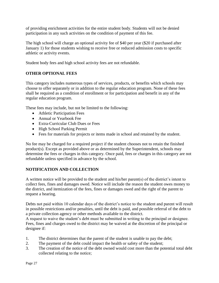of providing enrichment activities for the entire student body. Students will not be denied participation in any such activities on the condition of payment of this fee.

The high school will charge an optional activity fee of \$40 per year (\$20 if purchased after January 1) for those students wishing to receive free or reduced admission costs to specific athletic or activity events.

Student body fees and high school activity fees are not refundable.

#### <span id="page-26-0"></span>**OTHER OPTIONAL FEES**

This category includes numerous types of services, products, or benefits which schools may choose to offer separately or in addition to the regular education program. None of these fees shall be required as a condition of enrollment or for participation and benefit in any of the regular education program.

These fees may include, but not be limited to the following:

- Athletic Participation Fees
- Annual or Yearbook Fee
- Extra-Curricular Club Dues or Fees
- High School Parking Permit
- Fees for materials for projects or items made in school and retained by the student.

No fee may be charged for a required project if the student chooses not to retain the finished product(s). Except as provided above or as determined by the Superintendent, schools may determine the fees or charges in this category. Once paid, fees or charges in this category are not refundable unless specified in advance by the school.

#### <span id="page-26-1"></span>**NOTIFICATION AND COLLECTION**

A written notice will be provided to the student and his/her parent(s) of the district's intent to collect fees, fines and damages owed. Notice will include the reason the student owes money to the district, and itemization of the fees, fines or damages owed and the right of the parent to request a hearing.

Debts not paid within 10 calendar days of the district's notice to the student and parent will result in possible restrictions and/or penalties, until the debt is paid, and possible referral of the debt to a private collection agency or other methods available to the district.

A request to waive the student's debt must be submitted in writing to the principal or designee. Fees, fines and charges owed to the district may be waived at the discretion of the principal or designee if:

- 1. The district determines that the parent of the student is unable to pay the debt;
- 2. The payment of the debt could impact the health or safety of the student;
- 3. The creation of the notice of the debt owned would cost more than the potential total debt collected relating to the notice;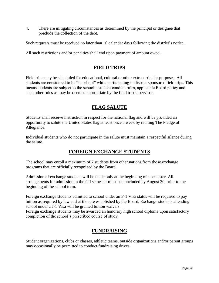4. There are mitigating circumstances as determined by the principal or designee that preclude the collection of the debt.

Such requests must be received no later than 10 calendar days following the district's notice.

<span id="page-27-0"></span>All such restrictions and/or penalties shall end upon payment of amount owed.

# **FIELD TRIPS**

Field trips may be scheduled for educational, cultural or other extracurricular purposes. All students are considered to be "in school" while participating in district-sponsored field trips. This means students are subject to the school's student conduct rules, applicable Board policy and such other rules as may be deemed appropriate by the field trip supervisor.

## **FLAG SALUTE**

<span id="page-27-1"></span>Students shall receive instruction in respect for the national flag and will be provided an opportunity to salute the United States flag at least once a week by reciting The Pledge of Allegiance.

<span id="page-27-2"></span>Individual students who do not participate in the salute must maintain a respectful silence during the salute.

## **FOREIGN EXCHANGE STUDENTS**

The school may enroll a maximum of 7 students from other nations from those exchange programs that are officially recognized by the Board.

Admission of exchange students will be made only at the beginning of a semester. All arrangements for admission in the fall semester must be concluded by August 30, prior to the beginning of the school term.

Foreign exchange students admitted to school under an F-1 Visa status will be required to pay tuition as required by law and at the rate established by the Board. Exchange students attending school under a J-1 Visa will be granted tuition waivers.

<span id="page-27-3"></span>Foreign exchange students may be awarded an honorary high school diploma upon satisfactory completion of the school's prescribed course of study.

## **FUNDRAISING**

Student organizations, clubs or classes, athletic teams, outside organizations and/or parent groups may occasionally be permitted to conduct fundraising drives.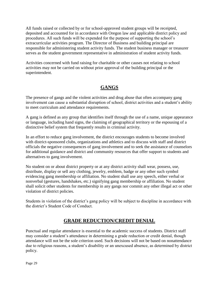All funds raised or collected by or for school-approved student groups will be receipted, deposited and accounted for in accordance with Oregon law and applicable district policy and procedures. All such funds will be expended for the purpose of supporting the school's extracurricular activities program. The Director of Business and building principal are responsible for administering student activity funds. The student business manager or treasurer serves as the student government representative in administration of student activity funds.

Activities concerned with fund raising for charitable or other causes not relating to school activities may not be carried on without prior approval of the building principal or the superintendent.

# **GANGS**

<span id="page-28-0"></span>The presence of gangs and the violent activities and drug abuse that often accompany gang involvement can cause a substantial disruption of school, district activities and a student's ability to meet curriculum and attendance requirements.

A gang is defined as any group that identifies itself through the use of a name, unique appearance or language, including hand signs, the claiming of geographical territory or the espousing of a distinctive belief system that frequently results in criminal activity.

In an effort to reduce gang involvement, the district encourages students to become involved with district-sponsored clubs, organizations and athletics and to discuss with staff and district officials the negative consequences of gang involvement and to seek the assistance of counselors for additional guidance and district and community resources that offer support to students and alternatives to gang involvement.

No student on or about district property or at any district activity shall wear, possess, use, distribute, display or sell any clothing, jewelry, emblem, badge or any other such symbol evidencing gang membership or affiliation. No student shall use any speech, either verbal or nonverbal (gestures, handshakes, etc.) signifying gang membership or affiliation. No student shall solicit other students for membership in any gangs nor commit any other illegal act or other violation of district policies.

<span id="page-28-1"></span>Students in violation of the district's gang policy will be subject to discipline in accordance with the district's Student Code of Conduct.

# **GRADE REDUCTION/CREDIT DENIAL**

Punctual and regular attendance is essential to the academic success of students. District staff may consider a student's attendance in determining a grade reduction or credit denial, though attendance will not be the sole criterion used. Such decisions will not be based on nonattendance due to religious reasons, a student's disability or an unexcused absence, as determined by district policy.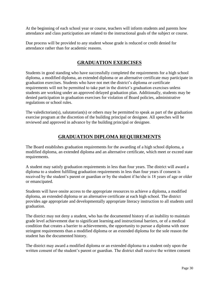At the beginning of each school year or course, teachers will inform students and parents how attendance and class participation are related to the instructional goals of the subject or course.

<span id="page-29-0"></span>Due process will be provided to any student whose grade is reduced or credit denied for attendance rather than for academic reasons.

## **GRADUATION EXERCISES**

Students in good standing who have successfully completed the requirements for a high school diploma, a modified diploma, an extended diploma or an alternative certificate may participate in graduation exercises. Students who have not met the district's diploma or certificate requirements will not be permitted to take part in the district's graduation exercises unless students are working under an approved delayed graduation plan. Additionally, students may be denied participation in graduation exercises for violation of Board policies, administrative regulations or school rules.

The valedictorian(s), salutatorian(s) or others may be permitted to speak as part of the graduation exercise program at the discretion of the building principal or designee. All speeches will be reviewed and approved in advance by the building principal or designee.

## **GRADUATION DIPLOMA REQUIREMENTS**

<span id="page-29-1"></span>The Board establishes graduation requirements for the awarding of a high school diploma, a modified diploma, an extended diploma and an alternative certificate, which meet or exceed state requirements.

A student may satisfy graduation requirements in less than four years. The district will award a diploma to a student fulfilling graduation requirements in less than four years if consent is received by the student's parent or guardian or by the student if he/she is 18 years of age or older or emancipated.

Students will have onsite access to the appropriate resources to achieve a diploma, a modified diploma, an extended diploma or an alternative certificate at each high school. The district provides age appropriate and developmentally appropriate literacy instruction to all students until graduation.

The district may not deny a student, who has the documented history of an inability to maintain grade level achievement due to significant learning and instructional barriers, or of a medical condition that creates a barrier to achievements, the opportunity to pursue a diploma with more stringent requirements than a modified diploma or an extended diploma for the sole reason the student has the documented history.

The district may award a modified diploma or an extended diploma to a student only upon the written consent of the student's parent or guardian. The district shall receive the written consent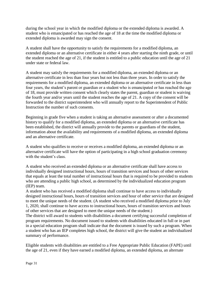during the school year in which the modified diploma or the extended diploma is awarded. A student who is emancipated or has reached the age of 18 at the time the modified diploma or extended diploma is awarded may sign the consent.

A student shall have the opportunity to satisfy the requirements for a modified diploma, an extended diploma or an alternative certificate in either 4 years after starting the ninth grade, or until the student reached the age of 21, if the student is entitled to a public education until the age of 21 under state or federal law.

A student may satisfy the requirements for a modified diploma, an extended diploma or an alternative certificate in less than four years but not less than three years. In order to satisfy the requirements for a modified diploma, an extended diploma or an alternative certificate in less than four years, the student's parent or guardian or a student who is emancipated or has reached the age of 18, must provide written consent which clearly states the parent, guardian or student is waiving the fourth year and/or years until the student reaches the age of 21. A copy of the consent will be forwarded to the district superintendent who will annually report to the Superintendent of Public Instruction the number of such consents.

Beginning in grade five when a student is taking an alternative assessment or after a documented history to qualify for a modified diploma, an extended diploma or an alternative certificate has been established, the district will annually provide to the parents or guardians of the student, information about the availability and requirements of a modified diploma, an extended diploma and an alternative certificate.

A student who qualifies to receive or receives a modified diploma, an extended diploma or an alternative certificate will have the option of participating in a high school graduation ceremony with the student's class.

A student who received an extended diploma or an alternative certificate shall have access to individually designed instructional hours, hours of transition services and hours of other services that equals at least the total number of instructional hours that is required to be provided to students who are attending a public high school, as determined by the individualized education program (IEP) team.

A student who has received a modified diploma shall continue to have access to individually designed instructional hours, hours of transition services and hour of other service that are designed to meet the unique needs of the student. (A student who received a modified diploma prior to July 1, 2020, shall continue to have access to instructional hours, hours of transition services and hours of other services that are designed to meet the unique needs of the student.)

The district will award to students with disabilities a document certifying successful completion of program requirements. No document issued to students with disabilities educated in full or in part in a special education program shall indicate that the document is issued by such a program. When a student who has an IEP completes high school, the district will give the student an individualized summary of performance.

Eligible students with disabilities are entitled to a Free Appropriate Public Education (FAPE) until the age of 21, even if they have earned a modified diploma, an extended diploma, an alternate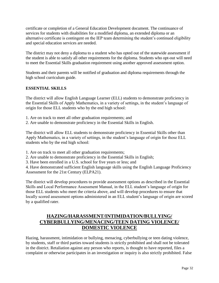certificate or completion of a General Education Development document. The continuance of services for students with disabilities for a modified diploma, an extended diploma or an alternative certificate is contingent on the IEP team determining the student's continued eligibility and special education services are needed.

The district may not deny a diploma to a student who has opted out of the statewide assessment if the student is able to satisfy all other requirements for the diploma. Students who opt-out will need to meet the Essential Skills graduation requirement using another approved assessment option.

Students and their parents will be notified of graduation and diploma requirements through the high school curriculum guide.

#### <span id="page-31-0"></span>**ESSENTIAL SKILLS**

The district will allow English Language Learner (ELL) students to demonstrate proficiency in the Essential Skills of Apply Mathematics, in a variety of settings, in the student's language of origin for those ELL students who by the end high school:

- 1. Are on track to meet all other graduation requirements; and
- 2. Are unable to demonstrate proficiency in the Essential Skills in English.

The district will allow ELL students to demonstrate proficiency in Essential Skills other than Apply Mathematics, in a variety of settings, in the student's language of origin for those ELL students who by the end high school:

- 1. Are on track to meet all other graduation requirements;
- 2. Are unable to demonstrate proficiency in the Essential Skills in English;
- 3. Have been enrolled in a U.S. school for five years or less; and

4. Have demonstrated sufficient English language skills using the English Language Proficiency Assessment for the 21st Century (ELPA21).

The district will develop procedures to provide assessment options as described in the Essential Skills and Local Performance Assessment Manual, in the ELL student's language of origin for those ELL students who meet the criteria above, and will develop procedures to ensure that locally scored assessment options administered in an ELL student's language of origin are scored by a qualified rater.

## <span id="page-31-1"></span>**HAZING/HARASSMENT/INTIMIDATION/BULLYING/ CYBERBULLYING/MENACING/TEEN DATING VIOLENCE/ DOMESTIC VIOLENCE**

Hazing, harassment, intimidation or bullying, menacing, cyberbullying or teen dating violence, by students, staff or third parties toward students is strictly prohibited and shall not be tolerated in the district. Retaliation against any person who reports, is thought to have reported, files a complaint or otherwise participates in an investigation or inquiry is also strictly prohibited. False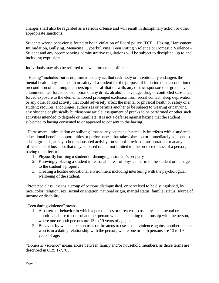charges shall also be regarded as a serious offense and will result in disciplinary action or other appropriate sanctions.

Students whose behavior is found to be in violation of Board policy JFCF – Hazing, Harassment, Intimidation, Bullying, Menacing, Cyberbullying, Teen Dating Violence or Domestic Violence – Student and any accompanying administrative regulations will be subject to discipline, up to and including expulsion

Individuals may also be referred to law enforcement officials.

"Hazing" includes, but is not limited to, any act that recklessly or intentionally endangers the mental health, physical health or safety of a student for the purpose of initiation or as a condition or precondition of attaining membership in, or affiliation with, any district-sponsored or grade level attainment, i.e., forced consumption of any drink, alcoholic beverage, drug or controlled substance, forced exposure to the elements, forced prolonged exclusion from social contact, sleep deprivation or any other forced activity that could adversely affect the mental or physical health or safety of a student; requires, encourages, authorizes or permits another to be subject to wearing or carrying any obscene or physically burdensome article, assignment of pranks to be performed or other such activities intended to degrade or humiliate. It is not a defense against hazing that the student subjected to hazing consented to or appeared to consent to the hazing.

"Harassment, intimidation or bullying" means any act that substantially interferes with a student's educational benefits, opportunities or performance, that takes place on or immediately adjacent to school grounds, at any school-sponsored activity, on school-provided transportation or at any official school bus stop, that may be based on but not limited to, the protected class of a person, having the effect of:

- 1. Physically harming a student or damaging a student's property
- 2. Knowingly placing a student in reasonable fear of physical harm to the student or damage to the student's property;
- 3. Creating a hostile educational environment including interfering with the psychological wellbeing of the student.

"Protected class" means a group of persons distinguished, or perceived to be distinguished, by race, color, religion, sex, sexual orientation, national origin, marital status, familial status, source of income or disability.

"Teen dating violence" means:

- 1. A pattern of behavior in which a person uses or threatens to use physical, mental or emotional abuse to control another person who is in a dating relationship with the person, where one or both persons are 13 to 19 years of age; or
- 2. Behavior by which a person uses or threatens to use sexual violence against another person who is in a dating relationship with the person, where one or both persons are 13 to 19 years of age.

"Domestic violence" means abuse between family and/or household members, as those terms are described in ORS 1-7.705.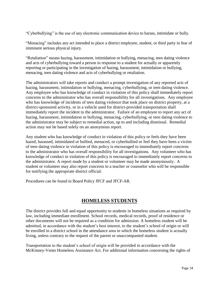"Cyberbullying" is the use of any electronic communication device to harass, intimidate or bully.

"Menacing" includes any act intended to place a district employee, student, or third party in fear of imminent serious physical injury.

"Retaliation" means hazing, harassment, intimidation or bullying, menacing, teen dating violence and acts of cyberbullying toward a person in response to a student for actually or apparently reporting or participating in the investigation of hazing, harassment, intimidation or bullying, menacing, teen dating violence and acts of cyberbullying or retaliation.

The administrators will take reports and conduct a prompt investigation of any reported acts of hazing, harassment, intimidation or bullying, menacing, cyberbullying, or teen dating violence. Any employee who has knowledge of conduct in violation of this policy shall immediately report concerns to the administrator who has overall responsibility for all investigations. Any employee who has knowledge of incidents of teen dating violence that took place on district property, at a district-sponsored activity, or in a vehicle used for district-provided transportation shall immediately report the incident to the administrator. Failure of an employee to report any act of hazing, harassment, intimidation or bullying, menacing, cyberbullying, or teen dating violence to the administrator may be subject to remedial action, up to and including dismissal. Remedial action may not be based solely on an anonymous report.

Any student who has knowledge of conduct in violation of this policy or feels they have been hazed, harassed, intimidated or bullied, menaced, or cyberbullied or feel they have been a victim of teen dating violence in violation of this policy is encouraged to immediately report concerns to the administrator who has overall responsibility for all investigations. Any volunteer who has knowledge of conduct in violation of this policy is encouraged to immediately report concerns to the administrator. A report made by a student or volunteer may be made anonymously. A student or volunteer may also report concerns to a teacher or counselor who will be responsible for notifying the appropriate district official.

<span id="page-33-0"></span>Procedures can be found in Board Policy JFCF and JFCF-AR.

## **HOMELESS STUDENTS**

The district provides full and equal opportunity to students in homeless situations as required by law, including immediate enrollment. School records, medical records, proof of residence or other documents will not be required as a condition for admission. A homeless student will be admitted, in accordance with the student's best interest, to the student's school of origin or will be enrolled in a district school in the attendance area in which the homeless student is actually living, unless contrary to the request of the parent or unaccompanied student.

Transportation to the student's school of origin will be provided in accordance with the McKinney-Vento Homeless Assistance Act. For additional information concerning the rights of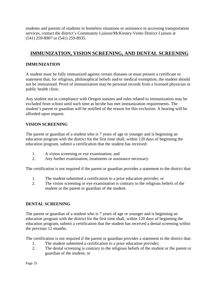students and parents of students in homeless situations or assistance in accessing transportation services, contact the district's Community Liaison/McKinney-Vento District Liaison at (541) 259-8907 or (541) 259-8935.

## <span id="page-34-0"></span>**IMMUNIZATION, VISION SCREENING, AND DENTAL SCREENING**

## <span id="page-34-1"></span>**IMMUNIZATION**

A student must be fully immunized against certain diseases or must present a certificate or statement that, for religious, philosophical beliefs and/or medical exemption, the student should not be immunized. Proof of immunization may be personal records from a licensed physician or public health clinic.

Any student not in compliance with Oregon statutes and rules related to immunization may be excluded from school until such time as he/she has met immunization requirements. The student's parent or guardian will be notified of the reason for this exclusion. A hearing will be afforded upon request.

#### <span id="page-34-2"></span>**VISION SCREENING**

The parent or guardian of a student who is 7 years of age or younger and is beginning an education program with the district for the first time shall, within 120 days of beginning the education program, submit a certification that the student has received:

- 1. A vision screening or eye examination; and
- 2. Any further examination, treatments or assistance necessary.

The certification is not required if the parent or guardian provides a statement to the district that:

- 1. The student submitted a certification to a prior education provider; or
- 2. The vision screening or eye examination is contrary to the religious beliefs of the student or the parent or guardian of the student.

#### <span id="page-34-3"></span>**DENTAL SCREENING**

The parent or guardian of a student who is 7 years of age or younger and is beginning an education program with the district for the first time shall, within 120 days of beginning the education program, submit a certification that the student has received a dental screening within the previous 12 months.

The certification is not required if the parent or guardian provides a statement to the district that:

- 1. The student submitted a certification to a prior education provider;
- 2. The dental screening is contrary to the religious beliefs of the student or the parent or guardian of the student; or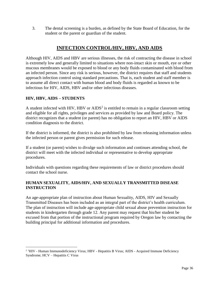3. The dental screening is a burden, as defined by the State Board of Education, for the student or the parent or guardian of the student.

## **INFECTION CONTROL/HIV, HBV, AND AIDS**

<span id="page-35-0"></span>Although HIV, AIDS and HBV are serious illnesses, the risk of contracting the disease in school is extremely low and generally limited to situations where non-intact skin or mouth, eye or other mucous membranes would be exposed to blood or any body fluids contaminated with blood from an infected person. Since any risk is serious, however, the district requires that staff and students approach infection control using standard precautions. That is, each student and staff member is to assume all direct contact with human blood and body fluids is regarded as known to be infectious for HIV, AIDS, HBV and/or other infectious diseases.

## <span id="page-35-1"></span>**HIV, HBV, AIDS – STUDENTS**

 $\overline{a}$ 

A student infected with HIV, HBV or  $\text{AIDS}^2$  is entitled to remain in a regular classroom setting and eligible for all rights, privileges and services as provided by law and Board policy. The district recognizes that a student (or parent) has no obligation to report an HIV, HBV or AIDS condition diagnosis to the district.

If the district is informed, the district is also prohibited by law from releasing information unless the infected person or parent gives permission for such release.

If a student (or parent) wishes to divulge such information and continues attending school, the district will meet with the infected individual or representative to develop appropriate procedures.

Individuals with questions regarding these requirements of law or district procedures should contact the school nurse.

## <span id="page-35-2"></span>**HUMAN SEXUALITY, AIDS/HIV, AND SEXUALLY TRANSMITTED DISEASE INSTRUCTION**

An age-appropriate plan of instruction about Human Sexuality, AIDS, HIV and Sexually Transmitted Diseases has been included as an integral part of the district's health curriculum. The plan of instruction will include age-appropriate child sexual abuse prevention instruction for students in kindergarten through grade 12. Any parent may request that his/her student be excused from that portion of the instructional program required by Oregon law by contacting the building principal for additional information and procedures.

<sup>&</sup>lt;sup>2 1</sup>HIV - Human Immunodeficiency Virus; HBV - Hepatitis B Virus; AIDS - Acquired Immune Deficiency Syndrome; HCV – Hepatitis C Virus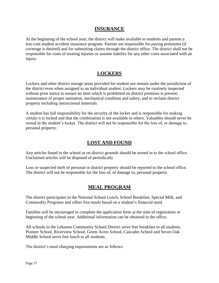## **INSURANCE**

<span id="page-36-0"></span>At the beginning of the school year, the district will make available to students and parents a low-cost student accident insurance program. Parents are responsible for paying premiums (if coverage is desired) and for submitting claims through the district office. The district shall not be responsible for costs of treating injuries or assume liability for any other costs associated with an injury.

## **LOCKERS**

<span id="page-36-1"></span>Lockers and other district storage areas provided for student use remain under the jurisdiction of the district even when assigned to an individual student. Lockers may be routinely inspected without prior notice to ensure no item which is prohibited on district premises is present; maintenance of proper sanitation, mechanical condition and safety; and to reclaim district property including instructional materials.

A student has full responsibility for the security of the locker and is responsible for making certain it is locked and that the combination is not available to others. Valuables should never be stored in the student's locker. The district will not be responsible for the loss of, or damage to, personal property.

## **LOST AND FOUND**

<span id="page-36-2"></span>Any articles found in the school or on district grounds should be turned in to the school office. Unclaimed articles will be disposed of periodically

<span id="page-36-3"></span>Loss or suspected theft of personal or district property should be reported to the school office. The district will not be responsible for the loss of, of damage to, personal property.

## **MEAL PROGRAM**

The district participates in the National School Lunch, School Breakfast, Special Milk, and Commodity Programs and offers free meals based on a student's financial need.

Families will be encouraged to complete the application form at the time of registration or beginning of the school year. Additional information can be obtained in the office.

All schools in the Lebanon Community School District serve free breakfast to all students. Pioneer School, Riverview School, Green Acres School, Cascades School and Seven Oak Middle School serve free lunch to all students.

The district's meal charging requirements are as follows: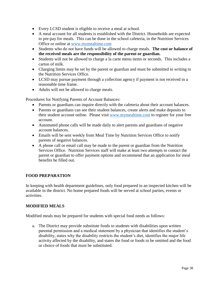- Every LCSD student is eligible to receive a meal at school.
- A meal account for all students is established with the District. Households are expected to pre-pay for meals. This can be done in the school cafeteria, in the Nutrition Services Office or online at [www.mymealtime.com](http://www.mymealtime.com/)
- Students who do not have funds will be allowed to charge meals. **The cost or balance of the received meals are the responsibility of the parent or guardian.**
- Students will not be allowed to charge a la carte menu items or seconds. This includes a carton of milk.
- Charging limits may be set by the parent or guardian and must be submitted in writing to the Nutrition Services Office.
- LCSD may pursue payment through a collection agency if payment is not received in a reasonable time frame.
- Adults will not be allowed to charge meals.

Procedures for Notifying Parents of Account Balances:

- Parents or guardians can inquire directly with the cafeteria about their account balances.
- Parents or guardians can see their student balances, create alerts and make deposits to their student account online. Please visit [www.mymealtime.com](http://www.mymealtime.com/) to register for your free account.
- Automated phone calls will be made daily to alert parents and guardians of negative account balances.
- Emails will be sent weekly from Meal Time by Nutrition Services Office to notify parents of negative balances.
- A phone call or email call may be made to the parent or guardian from the Nutrition Services Office. Nutrition Services staff will make at least two attempts to contact the parent or guardian to offer payment options and recommend that an application for meal benefits be filled out.

#### <span id="page-37-0"></span>**FOOD PREPARATION**

In keeping with health department guidelines, only food prepared in an inspected kitchen will be available in the district. No home prepared foods will be served at school parties, events or activities.

#### <span id="page-37-1"></span>**MODIFIED MEALS**

Modified meals may be prepared for students with special food needs as follows:

a. The District may provide substitute foods to students with disabilities upon written parental permission and a medical statement by a physician that identifies the student's disability, states why the disability restricts the student's diet, identifies the major life activity affected by the disability, and states the food or foods to be omitted and the food or choice of foods that must be substituted.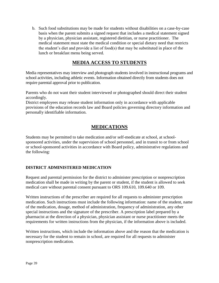b. Such food substitutions may be made for students without disabilities on a case-by-case basis when the parent submits a signed request that includes a medical statement signed by a physician, physician assistant, registered dietitian, or nurse practitioner. The medical statement must state the medical condition or special dietary need that restricts the student's diet and provide a list of food(s) that may be substituted in place of the lunch or breakfast menu being served.

## **MEDIA ACCESS TO STUDENTS**

<span id="page-38-0"></span>Media representatives may interview and photograph students involved in instructional programs and school activities, including athletic events. Information obtained directly from students does not require parental approval prior to publication.

Parents who do not want their student interviewed or photographed should direct their student accordingly.

District employees may release student information only in accordance with applicable provisions of the education records law and Board policies governing directory information and personally identifiable information.

## **MEDICATIONS**

<span id="page-38-1"></span>Students may be permitted to take medication and/or self-medicate at school, at schoolsponsored activities, under the supervision of school personnel, and in transit to or from school or school-sponsored activities in accordance with Board policy, administrative regulations and the following:

#### <span id="page-38-2"></span>**DISTRICT ADMINISTERED MEDICATION**

Request and parental permission for the district to administer prescription or nonprescription medication shall be made in writing by the parent or student, if the student is allowed to seek medical care without parental consent pursuant to ORS 109.610, 109.640 or 109.

Written instructions of the prescriber are required for all requests to administer prescription medication. Such instructions must include the following information: name of the student, name of the medication, dosage, method of administration, frequency of administration, any other special instructions and the signature of the prescriber. A prescription label prepared by a pharmacist at the direction of a physician, physician assistant or nurse practitioner meets the requirements for written instructions from the physician, if the information above is included.

Written instructions, which include the information above and the reason that the medication is necessary for the student to remain in school, are required for all requests to administer nonprescription medication.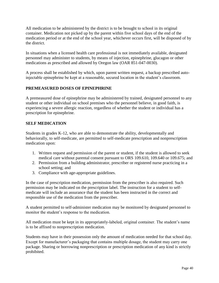All medication to be administered by the district is to be brought to school in its original container. Medication not picked up by the parent within five school days of the end of the medication period or at the end of the school year, whichever occurs first, will be disposed of by the district.

In situations when a licensed health care professional is not immediately available, designated personnel may administer to students, by means of injection, epinephrine, glucagon or other medications as prescribed and allowed by Oregon law (OAR 851-047-0030).

A process shall be established by which, upon parent written request, a backup prescribed autoinjectable epinephrine be kept at a reasonable, secured location in the student's classroom.

#### <span id="page-39-0"></span>**PREMEASURED DOSES OF EPINEPHRINE**

A premeasured dose of epinephrine may be administered by trained, designated personnel to any student or other individual on school premises who the personnel believe, in good faith, is experiencing a severe allergic reaction, regardless of whether the student or individual has a prescription for epinephrine.

#### <span id="page-39-1"></span>**SELF MEDICATION**

Students in grades K-12, who are able to demonstrate the ability, developmentally and behaviorally, to self-medicate, are permitted to self-medicate prescription and nonprescription medication upon:

- 1. Written request and permission of the parent or student, if the student is allowed to seek medical care without parental consent pursuant to ORS 109.610, 109.640 or 109.675; and
- 2. Permission from a building administrator, prescriber or registered nurse practicing in a school setting; and
- 3. Compliance with age-appropriate guidelines.

In the case of prescription medication, permission from the prescriber is also required. Such permission may be indicated on the prescription label. The instruction for a student to selfmedicate will include an assurance that the student has been instructed in the correct and responsible use of the medication from the prescriber.

A student permitted to self-administer medication may be monitored by designated personnel to monitor the student's response to the medication.

All medication must be kept in its appropriately-labeled, original container. The student's name is to be affixed to nonprescription medication.

Students may have in their possession only the amount of medication needed for that school day. Except for manufacturer's packaging that contains multiple dosage, the student may carry one package. Sharing or borrowing nonprescription or prescription medication of any kind is strictly prohibited.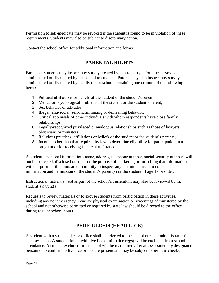Permission to self-medicate may be revoked if the student is found to be in violation of these requirements. Students may also be subject to disciplinary action.

<span id="page-40-0"></span>Contact the school office for additional information and forms.

# **PARENTAL RIGHTS**

Parents of students may inspect any survey created by a third party before the survey is administered or distributed by the school to students. Parents may also inspect any survey administered or distributed by the district or school containing one or more of the following items:

- 1. Political affiliations or beliefs of the student or the student's parent;
- 2. Mental or psychological problems of the student or the student's parent;
- 3. Sex behavior or attitudes;
- 4. Illegal, anti-social, self-incriminating or demeaning behavior;
- 5. Critical appraisals of other individuals with whom respondents have close family relationships;
- 6. Legally-recognized privileged or analogous relationships such as those of lawyers, physicians or ministers;
- 7. Religious practices, affiliations or beliefs of the student or the student's parents;
- 8. Income, other than that required by law to determine eligibility for participation in a program or for receiving financial assistance.

A student's personal information (name, address, telephone number, social security number) will not be collected, disclosed or used for the purpose of marketing or for selling that information without prior notification, an opportunity to inspect any instrument used to collect such information and permission of the student's parent(s) or the student, if age 18 or older.

Instructional materials used as part of the school's curriculum may also be reviewed by the student's parent(s).

Requests to review materials or to excuse students from participation in these activities, including any nonemergency, invasive physical examination or screenings administered by the school and not otherwise permitted or required by state law should be directed to the office during regular school hours.

# **PEDICULOSIS (HEAD LICE)**

<span id="page-40-1"></span>A student with a suspected case of lice shall be referred to the school nurse or administrator for an assessment. A student found with live lice or nits (lice eggs) will be excluded from school attendance. A student excluded from school will be readmitted after an assessment by designated personnel to confirm no live lice or nits are present and may be subject to periodic checks.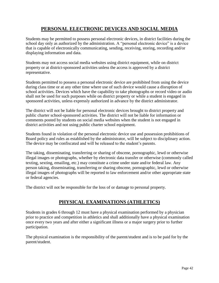## **PERSONAL ELECTRONIC DEVICES AND SOCIAL MEDIA**

<span id="page-41-0"></span>Students may be permitted to possess personal electronic devices, in district facilities during the school day only as authorized by the administration. A "personal electronic device" is a device that is capable of electronically communicating, sending, receiving, storing, recording and/or displaying information and data.

Students may not access social media websites using district equipment, while on district property or at district-sponsored activities unless the access is approved by a district representative.

Students permitted to possess a personal electronic device are prohibited from using the device during class time or at any other time where use of such device would cause a disruption of school activities. Devices which have the capability to take photographs or record video or audio shall not be used for such purposes while on district property or while a student is engaged in sponsored activities, unless expressly authorized in advance by the district administrator.

The district will not be liable for personal electronic devices brought to district property and public charter school-sponsored activities. The district will not be liable for information or comments posted by students on social media websites when the student is not engaged in district activities and not using public charter school equipment.

Students found in violation of the personal electronic device use and possession prohibitions of Board policy and rules as established by the administrator, will be subject to disciplinary action. The device may be confiscated and will be released to the student's parents.

The taking, disseminating, transferring or sharing of obscene, pornographic, lewd or otherwise illegal images or photographs, whether by electronic data transfer or otherwise (commonly called texting, sexting, emailing, etc.) may constitute a crime under state and/or federal law. Any person taking, disseminating, transferring or sharing obscene, pornographic, lewd or otherwise illegal images of photographs will be reported to law enforcement and/or other appropriate state or federal agencies.

<span id="page-41-1"></span>The district will not be responsible for the loss of or damage to personal property.

## **PHYSICAL EXAMINATIONS (ATHLETICS)**

Students in grades 6 through 12 must have a physical examination performed by a physician prior to practice and competition in athletics and shall additionally have a physical examination once every two years and after either a significant illness or a major surgery prior to further participation.

The physical examination is the responsibility of the parent/student and is to be paid for by the parent/student.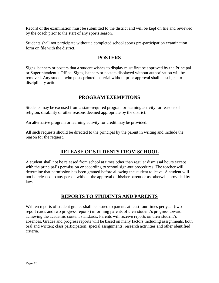Record of the examination must be submitted to the district and will be kept on file and reviewed by the coach prior to the start of any sports season.

<span id="page-42-0"></span>Students shall not participate without a completed school sports pre-participation examination form on file with the district.

## **POSTERS**

Signs, banners or posters that a student wishes to display must first be approved by the Principal or Superintendent's Office. Signs, banners or posters displayed without authorization will be removed. Any student who posts printed material without prior approval shall be subject to disciplinary action.

## **PROGRAM EXEMPTIONS**

<span id="page-42-1"></span>Students may be excused from a state-required program or learning activity for reasons of religion, disability or other reasons deemed appropriate by the district.

An alternative program or learning activity for credit may be provided.

<span id="page-42-2"></span>All such requests should be directed to the principal by the parent in writing and include the reason for the request.

# **RELEASE OF STUDENTS FROM SCHOOL**

A student shall not be released from school at times other than regular dismissal hours except with the principal's permission or according to school sign-out procedures. The teacher will determine that permission has been granted before allowing the student to leave. A student will not be released to any person without the approval of his/her parent or as otherwise provided by law.

## **REPORTS TO STUDENTS AND PARENTS**

<span id="page-42-3"></span>Written reports of student grades shall be issued to parents at least four times per year (two report cards and two progress reports) informing parents of their student's progress toward achieving the academic content standards. Parents will receive reports on their student's absences. Grades and progress reports will be based on many factors including assignments, both oral and written; class participation; special assignments; research activities and other identified criteria.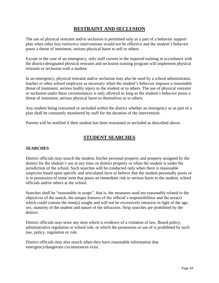## **RESTRAINT AND SECLUSION**

<span id="page-43-0"></span>The use of physical restraint and/or seclusion is permitted only as a part of a behavior support plan when other less restrictive interventions would not be effective and the student's behavior poses a threat of imminent, serious physical harm to self or others.

Except in the case of an emergency, only staff current in the required training in accordance with the district-designated physical restraint and seclusion training program will implement physical restraint or seclusion with a student.

In an emergency, physical restraint and/or seclusion may also be used by a school administrator, teacher or other school employee as necessary when the student's behavior imposes a reasonable threat of imminent, serious bodily injury to the student or to others. The use of physical restraint or seclusion under these circumstances is only allowed so long as the student's behavior poses a threat of imminent, serious physical harm to themselves or to others.

Any student being restrained or secluded within the district whether an emergency or as part of a plan shall be constantly monitored by staff for the duration of the intervention.

<span id="page-43-1"></span>Parents will be notified if their student has been restrained or secluded as described above.

## **STUDENT SEARCHES**

#### <span id="page-43-2"></span>**SEARCHES**

District officials may search the student, his/her personal property and property assigned by the district for the student's use at any time on district property or when the student is under the jurisdiction of the school. Such searches will be conducted only when there is reasonable suspicion based upon specific and articulated facts to believe that the student personally poses or is in possession of some item that poses an immediate risk or serious harm to the student, school officials and/or others at the school.

Searches shall be "reasonable in scope", that is, the measures used are reasonably related to the objectives of the search, the unique features of the official's responsibilities and the area(s) which could contain the item(s) sought and will not be excessively intrusive in light of the age, sex, maturity of the student and nature of the infraction. Strip searches are prohibited by the district.

District officials may seize any item which is evidence of a violation of law, Board policy, administrative regulation or school rule, or which the possession or use of is prohibited by such law, policy, regulation or rule.

District officials may also search when they have reasonable information that emergency/dangerous circumstances exist.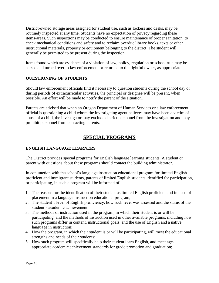District-owned storage areas assigned for student use, such as lockers and desks, may be routinely inspected at any time. Students have no expectation of privacy regarding these items/areas. Such inspections may be conducted to ensure maintenance of proper sanitation, to check mechanical conditions and safety and to reclaim overdue library books, texts or other instructional materials, property or equipment belonging to the district. The student will generally be permitted to be present during the inspection.

Items found which are evidence of a violation of law, policy, regulation or school rule may be seized and turned over to law enforcement or returned to the rightful owner, as appropriate.

## <span id="page-44-0"></span>**QUESTIONING OF STUDENTS**

Should law enforcement officials find it necessary to question students during the school day or during periods of extracurricular activities, the principal or designee will be present, when possible. An effort will be made to notify the parent of the situation.

Parents are advised that when an Oregon Department of Human Services or a law enforcement official is questioning a child whom the investigating agent believes may have been a victim of abuse of a child, the investigator may exclude district personnel from the investigation and may prohibit personnel from contacting parents.

## **SPECIAL PROGRAMS**

#### <span id="page-44-2"></span><span id="page-44-1"></span>**ENGLISH LANGUAGE LEARNERS**

The District provides special programs for English language learning students. A student or parent with questions about these programs should contact the building administrator.

In conjunction with the school's language instruction educational program for limited English proficient and immigrant students, parents of limited English students identified for participation, or participating, in such a program will be informed of:

- 1. The reasons for the identification of their student as limited English proficient and in need of placement in a language instruction educational program;
- 2. The student's level of English proficiency, how such level was assessed and the status of the student's academic achievement;
- 3. The methods of instruction used in the program, in which their student is or will be participating, and the methods of instruction used in other available programs, including how such programs differ in content, instructional goals, and the use of English and a native language in instruction;
- 4. How the program, in which their student is or will be participating, will meet the educational strengths and needs of their students;
- 5. How such program will specifically help their student learn English, and meet ageappropriate academic achievement standards for grade promotion and graduation;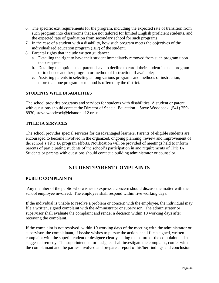- 6. The specific exit requirements for the program, including the expected rate of transition from such program into classrooms that are not tailored for limited English proficient students, and the expected rate of graduation from secondary school for such programs;
- 7. In the case of a student with a disability, how such program meets the objectives of the individualized education program (IEP) of the student;
- 8. Parental rights that include written guidance:
	- a. Detailing the right to have their student immediately removed from such program upon their request;
	- b. Detailing the options that parents have to decline to enroll their student in such program or to choose another program or method of instruction, if available;
	- c. Assisting parents in selecting among various programs and methods of instruction, if more than one program or method is offered by the district.

#### <span id="page-45-0"></span>**STUDENTS WITH DISABILITIES**

The school provides programs and services for students with disabilities. A student or parent with questions should contact the Director of Special Education – Steve Woodcock, (541) 259-8930, steve.woodcock@lebanon.k12.or.us.

#### <span id="page-45-1"></span>**TITLE IA SERVICES**

The school provides special services for disadvantaged learners. Parents of eligible students are encouraged to become involved in the organized, ongoing planning, review and improvement of the school's Title IA program efforts. Notification will be provided of meetings held to inform parents of participating students of the school's participation in and requirements of Title IA. Students or parents with questions should contact a building administrator or counselor.

## **STUDENT/PARENT COMPLAINTS**

#### <span id="page-45-3"></span><span id="page-45-2"></span>**PUBLIC COMPLAINTS**

Any member of the public who wishes to express a concern should discuss the matter with the school employee involved. The employee shall respond within five working days.

If the individual is unable to resolve a problem or concern with the employee, the individual may file a written, signed complaint with the administrator or supervisor. The administrator or supervisor shall evaluate the complaint and render a decision within 10 working days after receiving the complaint.

If the complaint is not resolved, within 10 working days of the meeting with the administrator or supervisor, the complainant, if he/she wishes to pursue the action, shall file a signed, written complaint with the superintendent or designee clearly stating the nature of the complaint and a suggested remedy. The superintendent or designee shall investigate the complaint, confer with the complainant and the parties involved and prepare a report of his/her findings and conclusion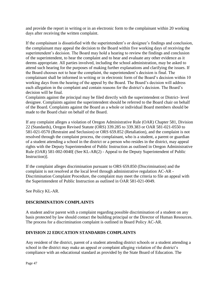and provide the report in writing or in an electronic form to the complainant within 20 working days after receiving the written complaint.

If the complainant is dissatisfied with the superintendent's or designee's findings and conclusion, the complainant may appeal the decision to the Board within five working days of receiving the superintendent's decision. The Board may hold a hearing to review the findings and conclusion of the superintendent, to hear the complaint and to hear and evaluate any other evidence as it deems appropriate. All parties involved, including the school administration, may be asked to attend such hearing for the purposes of making further explanations and clarifying the issues. If the Board chooses not to hear the complaint, the superintendent's decision is final. The complainant shall be informed in writing or in electronic form of the Board's decision within 10 working days from the hearing of the appeal by the Board. The Board's decision will address each allegation in the complaint and contain reasons for the district's decision. The Board's decision will be final.

Complaints against the principal may be filed directly with the superintendent or District- level designee. Complaints against the superintendent should be referred to the Board chair on behalf of the Board. Complaints against the Board as a whole or individual Board members should be made to the Board chair on behalf of the Board.

If any complaint alleges a violation of Oregon Administrative Rule (OAR) Chapter 581, Division 22 (Standards), Oregon Revised Statute (ORS) 339.285 to 339.383 or OAR 581-021-0550 to 581-021-0570 (Restraint and Seclusion) or ORS 659.852 (Retaliation), and the complaint is not resolved through the complaint process, the complainant, who is a student, a parent or guardian of a student attending a school in the district or a person who resides in the district, may appeal rights with the Deputy Superintendent of Public Instruction as outlined in Oregon Administrative Rule (OAR) 581-002-0040[ (See KL-AR(2) - Appeal to the Deputy Superintendent of Public Instruction)].

If the complaint alleges discrimination pursuant to ORS 659.850 (Discrimination) and the complaint is not resolved at the local level through administrative regulation AC-AR - Discrimination Complaint Procedure, the complaint may meet the criteria to file an appeal with the Superintendent of Public Instruction as outlined in OAR 581-021-0049.

See Policy KL-AR.

#### <span id="page-46-0"></span>**DISCRIMINATION COMPLAINTS**

A student and/or parent with a complaint regarding possible discrimination of a student on any basis protected by law should contact the building principal or the Director of Human Resources. The process for a discrimination complaint is outlined in Board Policy AC-AR.

#### <span id="page-46-1"></span>**DIVISION 22 EDUCATION STANDARDS COMPLAINTS**

Any resident of the district, parent of a student attending district schools or a student attending a school in the district may make an appeal or complaint alleging violation of the district's compliance with an educational standard as provided by the State Board of Education. The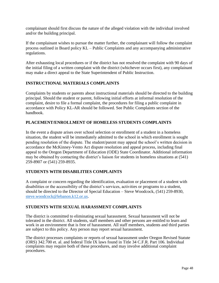complainant should first discuss the nature of the alleged violation with the individual involved and/or the building principal.

If the complainant wishes to pursue the matter further, the complainant will follow the complaint process outlined in Board policy KL – Public Complaints and any accompanying administrative regulations.

After exhausting local procedures or if the district has not resolved the complaint with 90 days of the initial filing of a written complaint with the district (whichever occurs first), any complainant may make a direct appeal to the State Superintendent of Public Instruction.

#### <span id="page-47-0"></span>**INSTRUCTIONAL MATERIALS COMPLAINTS**

Complaints by students or parents about instructional materials should be directed to the building principal. Should the student or parent, following initial efforts at informal resolution of the complaint, desire to file a formal complaint, the procedures for filing a public complaint in accordance with Policy KL-AR should be followed. See Public Complaints section of the handbook.

#### <span id="page-47-1"></span>**PLACEMENT/ENROLLMENT OF HOMELESS STUDENTS COMPLAINTS**

In the event a dispute arises over school selection or enrollment of a student in a homeless situation, the student will be immediately admitted to the school in which enrollment is sought pending resolution of the dispute. The student/parent may appeal the school's written decision in accordance the McKinney-Vento Act dispute resolution and appeal process, including final appeal to the Oregon Department of Education (ODE) State Coordinator. Additional information may be obtained by contacting the district's liaison for students in homeless situations at (541) 259-8907 or (541) 259-8935.

#### <span id="page-47-2"></span>**STUDENTS WITH DISABILITIES COMPLAINTS**

A complaint or concern regarding the identification, evaluation or placement of a student with disabilities or the accessibility of the district's services, activities or programs to a student, should be directed to the Director of Special Education – Steve Woodcock, (541) 259-8930, [steve.woodcock@lebanon.k12.or.us.](mailto:steve.woodcock@lebanon.k12.or.us)

#### <span id="page-47-3"></span>**STUDENTS WITH SEXUAL HARASSMENT COMPLAINTS**

The district is committed to eliminating sexual harassment. Sexual harassment will not be tolerated in the district. All students, staff members and other persons are entitled to learn and work in an environment that is free of harassment. All staff members, students and third parties are subject to this policy. Any person may report sexual harassment.

The district processes complaints or reports of sexual harassment under Oregon Revised Statute (ORS) 342.700 et. al. and federal Title IX laws found in Title 34 C.F.R. Part 106. Individual complaints may require both of these procedures, and may involve additional complaint procedures.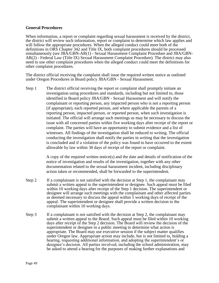#### **General Procedures**

When information, a report or complaint regarding sexual harassment is received by the district, the district will review such information, report or complaint to determine which law applies and will follow the appropriate procedures. When the alleged conduct could meet both of the definitions in ORS Chapter 342 and Title IX, both complaint procedures should be processed simultaneously (*see* JBA/GBN-AR(1) - Sexual Harassment Complaint Procedure and JBA/GBN-AR(2) - Federal Law (Title IX) Sexual Harassment Complaint Procedure). The district may also need to use other complaint procedures when the alleged conduct could meet the definitions for other complaint procedures.

The district official receiving the complaint shall issue the required written notice as outlined under Oregon Procedures in Board policy JBA/GBN - Sexual Harassment.

Step 1 The district official receiving the report or complaint shall promptly initiate an investigation using procedures and standards, including but not limited to, those identified in Board policy JBA/GBN - Sexual Harassment and will notify the complainant or reporting person, any impacted person who is not a reporting person (if appropriate), each reported person, and where applicable the parents of a reporting person, impacted person, or reported person, when such investigation is initiated. The official will arrange such meetings as may be necessary to discuss the issue with all concerned parties within five working days after receipt of the report or complaint. The parties will have an opportunity to submit evidence and a list of witnesses. All findings of the investigation shall be reduced to writing. The official conducting the investigation shall notify the parties in writing that the investigation is concluded and if a violation of the policy was found to have occurred to the extent allowable by law within 30 days of receipt of the report or complaint.

> A copy of the required written notice(s) and the date and details of notification of the notice of investigation and results of the investigation, together with any other documentation related to the sexual harassment incident, including disciplinary action taken or recommended, shall be forwarded to the superintendent.

- Step 2 If a complainant is not satisfied with the decision at Step 1, the complainant may submit a written appeal to the superintendent or designee. Such appeal must be filed within 10 working days after receipt of the Step 1 decision. The superintendent or designee will arrange such meetings with the complainant and other affected parties as deemed necessary to discuss the appeal within 5 working days of receipt of the appeal. The superintendent or designee shall provide a written decision to the complainant within 10 working days.
- Step 3 If a complainant is not satisfied with the decision at Step 2, the complainant may submit a written appeal to the Board. Such appeal must be filed within 10 working days after receipt of the Step 2 decision. The Board will review the decision of the superintendent or designee in a public meeting to determine what action is appropriate. The Board may use executive session if the subject matter qualifies under Oregon law. Appropriate action may include, but is not limited to, holding a hearing, requesting additional information, and adopting the superintendent's or designee's decision. All parties involved, including the school administration, may be asked to attend a hearing for the purposes of making further explanations and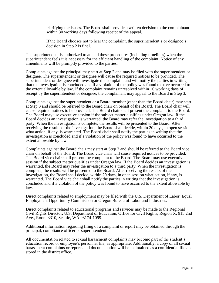clarifying the issues. The Board shall provide a written decision to the complainant within 30 working days following receipt of the appeal.

If the Board chooses not to hear the complaint, the superintendent's or designee's decision in Step 2 is final.

The superintendent is authorized to amend these procedures (including timelines) when the superintendent feels it is necessary for the efficient handling of the complaint. Notice of any amendments will be promptly provided to the parties.

Complaints against the principal may start at Step 2 and may be filed with the superintendent or designee. The superintendent or designee will cause the required notices to be provided. The superintendent or designee will investigate the complaint and will notify the parties in writing that the investigation is concluded and if a violation of the policy was found to have occurred to the extent allowable by law. If the complaint remains unresolved within 10 working days of receipt by the superintendent or designee, the complainant may appeal to the Board in Step 3.

Complaints against the superintendent or a Board member (other than the Board chair) may start at Step 3 and should be referred to the Board chair on behalf of the Board. The Board chair will cause required notices to be provided. The Board chair shall present the complaint to the Board. The Board may use executive session if the subject matter qualifies under Oregon law. If the Board decides an investigation is warranted, the Board may refer the investigation to a third party. When the investigation is complete, the results will be presented to the Board. After receiving the results of the investigation, the Board shall decide, within 20 days, in open session what action, if any, is warranted. The Board chair shall notify the parties in writing that the investigation is concluded and if a violation of the policy was found to have occurred to the extent allowable by law.

Complaints against the Board chair may start at Step 3 and should be referred to the Board vice chair on behalf of the Board. The Board vice chair will cause required notices to be provided. The Board vice chair shall present the complaint to the Board. The Board may use executive session if the subject matter qualifies under Oregon law. If the Board decides an investigation is warranted, the Board may refer the investigation to a third party. When the investigation is complete, the results will be presented to the Board. After receiving the results of the investigation, the Board shall decide, within 20 days, in open session what action, if any, is warranted. The Board vice chair shall notify the parties in writing that the investigation is concluded and if a violation of the policy was found to have occurred to the extent allowable by law.

Direct complaints related to employment may be filed with the U.S. Department of Labor, Equal Employment Opportunity Commission or Oregon Bureau of Labor and Industries.

Direct complaints related to educational programs and services may be made to the Regional Civil Rights Director, U.S. Department of Education, Office for Civil Rights, Region X, 915 2nd Ave., Room 3310, Seattle, WA 98174-1099.

Additional information regarding filing of a complaint or report may be obtained through the principal, compliance officer or superintendent.

All documentation related to sexual harassment complaints may become part of the student's education record or employee's personnel file, as appropriate. Additionally, a copy of all sexual harassment complaints or reports and documentation will be maintained as a confidential file and stored in the district office.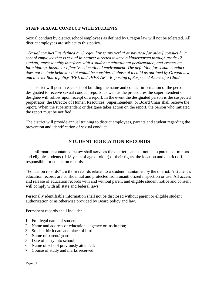## <span id="page-50-0"></span>**STAFF SEXUAL CONDUCT WITH STUDENTS**

Sexual conduct by district/school employees as defined by Oregon law will not be tolerated. All district employees are subject to this policy.

*"Sexual conduct" as defined by Oregon law is any verbal or physical [or other] conduct by a school employee that is sexual in nature; directed toward a kindergarten through grade 12 student; unreasonably interferes with a student's educational performance; and creates an intimidating, hostile or offensive educational environment. The definition for sexual conduct does not include behavior that would be considered abuse of a child as outlined by Oregon law and district Board policy JHFE and JHFE-AR – Reporting of Suspected Abuse of a Child.*

The district will post in each school building the name and contact information of the person designated to receive sexual conduct reports, as well as the procedures the superintendent or designee will follow upon receipt of a report. In the event the designated person is the suspected perpetrator, the Director of Human Resources, Superintendent, or Board Chair shall receive the report. When the superintendent or designee takes action on the report, the person who initiated the report must be notified.

<span id="page-50-1"></span>The district will provide annual training to district employees, parents and student regarding the prevention and identification of sexual conduct.

## **STUDENT EDUCATION RECORDS**

The information contained below shall serve as the district's annual notice to parents of minors and eligible students (if 18 years of age or older) of their rights, the location and district official responsible for education records.

"Education records" are those records related to a student maintained by the district. A student's education records are confidential and protected from unauthorized inspection or use. All access and release of education records with and without parent and eligible student notice and consent will comply with all state and federal laws.

Personally identifiable information shall not be disclosed without parent or eligible student authorization or as otherwise provided by Board policy and law.

Permanent records shall include:

- 1. Full legal name of student;
- 2. Name and address of educational agency or institution;
- 3. Student birth date and place of birth;
- 4. Name of parent/guardian;
- 5. Date of entry into school;
- 6. Name of school previously attended;
- 7. Course of study and marks received;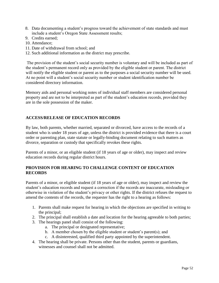- 8. Data documenting a student's progress toward the achievement of state standards and must include a student's Oregon State Assessment results;
- 9. Credits earned;
- 10. Attendance;
- 11. Date of withdrawal from school; and
- 12. Such additional information as the district may prescribe.

The provision of the student's social security number is voluntary and will be included as part of the student's permanent record only as provided by the eligible student or parent. The district will notify the eligible student or parent as to the purposes a social security number will be used. At no point will a student's social security number or student identification number be considered directory information.

Memory aids and personal working notes of individual staff members are considered personal property and are not to be interpreted as part of the student's education records, provided they are in the sole possession of the maker.

## <span id="page-51-0"></span>**ACCESS/RELEASE OF EDUCATION RECORDS**

By law, both parents, whether married, separated or divorced, have access to the records of a student who is under 18 years of age, unless the district is provided evidence that there is a court order or parenting plan, state statute or legally-binding document relating to such matters as divorce, separation or custody that specifically revokes these rights.

Parents of a minor, or an eligible student (if 18 years of age or older), may inspect and review education records during regular district hours.

#### <span id="page-51-1"></span>**PROVISION FOR HEARING TO CHALLENGE CONTENT OF EDUCATION RECORDS**

Parents of a minor, or eligible student (if 18 years of age or older), may inspect and review the student's education records and request a correction if the records are inaccurate, misleading or otherwise in violation of the student's privacy or other rights. If the district refuses the request to amend the contents of the records, the requester has the right to a hearing as follows:

- 1. Parents shall make request for hearing in which the objections are specified in writing to the principal;
- 2. The principal shall establish a date and location for the hearing agreeable to both parties;
- 3. The hearings panel shall consist of the following:
	- a. The principal or designated representative;
	- b. A member chosen by the eligible student or student's parent(s); and
	- c. A disinterested, qualified third party appointed by the superintendent.
- 4. The hearing shall be private. Persons other than the student, parents or guardians, witnesses and counsel shall not be admitted.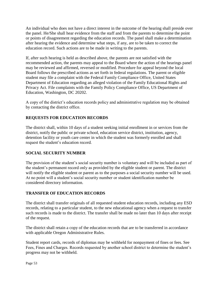An individual who does not have a direct interest in the outcome of the hearing shall preside over the panel. He/She shall hear evidence from the staff and from the parents to determine the point or points of disagreement regarding the education records. The panel shall make a determination after hearing the evidence and determine what steps, if any, are to be taken to correct the education record. Such actions are to be made in writing to the parents.

If, after such hearing is held as described above, the parents are not satisfied with the recommended action, the parents may appeal to the Board where the action of the hearings panel may be reviewed and affirmed, reversed or modified. Procedure for appeal beyond the local Board follows the prescribed actions as set forth in federal regulations. The parent or eligible student may file a complaint with the Federal Family Compliance Office, United States Department of Education regarding an alleged violation of the Family Educational Rights and Privacy Act. File complaints with the Family Policy Compliance Office, US Department of Education, Washington, DC 20202.

A copy of the district's education records policy and administrative regulation may be obtained by contacting the district office.

## <span id="page-52-0"></span>**REQUESTS FOR EDUCATION RECORDS**

The district shall, within 10 days of a student seeking initial enrollment in or services from the district, notify the public or private school, education service district, institution, agency, detention facility or youth care center in which the student was formerly enrolled and shall request the student's education record.

#### <span id="page-52-1"></span>**SOCIAL SECURITY NUMBER**

The provision of the student's social security number is voluntary and will be included as part of the student's permanent record only as provided by the eligible student or parent. The district will notify the eligible student or parent as to the purposes a social security number will be used. At no point will a student's social security number or student identification number be considered directory information.

#### <span id="page-52-2"></span>**TRANSFER OF EDUCATION RECORDS**

The district shall transfer originals of all requested student education records, including any ESD records, relating to a particular student, to the new educational agency when a request to transfer such records is made to the district. The transfer shall be made no later than 10 days after receipt of the request.

The district shall retain a copy of the education records that are to be transferred in accordance with applicable Oregon Administrative Rules.

Student report cards, records of diplomas may be withheld for nonpayment of fines or fees. See Fees, Fines and Charges. Records requested by another school district to determine the student's progress may not be withheld.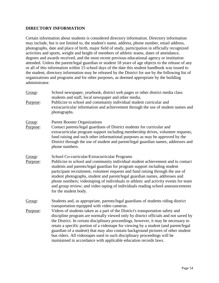#### <span id="page-53-0"></span>**DIRECTORY INFORMATION**

Certain information about students is considered directory information. Directory information may include, but is not limited to, the student's name, address, phone number, email address, photographs, date and place of birth, major field of study, participation in officially recognized activities and sports, weight and height of members of athletic teams, dates of attendance, degrees and awards received, and the most recent previous educational agency or institution attended. Unless the parent/legal guardian or student 18 years of age objects to the release of any or all of this information within 15 school days of the date this student handbook was issued to the student, directory information may be released by the District for use by the following list of organizations and programs and for other purposes, as deemed appropriate by the building administrator.

Group: School newspaper, yearbook, district web pages or other district media class students and staff, local newspaper and other media. Purpose: Publicize to school and community individual student curricular and extracurricular information and achievement through the use of student names and photographs. Group: Parent Booster Organizations Purpose: Contact parents/legal guardians of District students for curricular and extracurricular program support including membership drives, volunteer requests, fund raising and such other informational purposes as may be approved by the District through the use of student and parent/legal guardian names, addresses and phone numbers. Group: School Co-curricular/Extracurricular Programs Purpose: Publicize to school and community individual student achievement and to contact students and parents/legal guardian for program support including student participant recruitment, volunteer requests and fund raising through the use of student photographs, student and parent/legal guardian names, addresses and phone numbers; videotaping of individuals in athletic and activity events for team and group review; and video taping of individuals reading school announcements for the student body. Group: Students and, as appropriate, parents/legal guardians of students riding district transportation equipped with video cameras. Purpose: Videos of students taken as a part of the District's transportation safety and discipline program are normally viewed only by district officials and not saved by the District. In certain disciplinary proceedings, however, it may be necessary to retain a specific portion of a videotape for viewing by a student (and parent/legal guardian of a student) that may also contain background pictures of other student bus riders. All videotapes used in such disciplinary proceedings will be

maintained in accordance with applicable education records laws.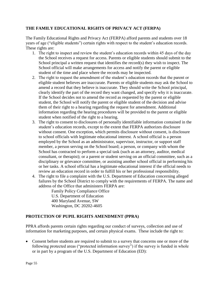## <span id="page-54-0"></span>**THE FAMILY EDUCATIONAL RIGHTS OF PRIVACY ACT (FERPA)**

The Family Educational Rights and Privacy Act (FERPA) afford parents and students over 18 years of age ("eligible students") certain rights with respect to the student's education records. These rights are:

- 1. The right to inspect and review the student's education records within 45 days of the day the School receives a request for access. Parents or eligible students should submit to the School principal a written request that identifies the record(s) they wish to inspect. The School official will make arrangements for access and notify the parent or eligible student of the time and place where the records may be inspected.
- 2. The right to request the amendment of the student's education records that the parent or eligible student believes are inaccurate. Parents or eligible students may ask the School to amend a record that they believe is inaccurate. They should write the School principal, clearly identify the part of the record they want changed, and specify why it is inaccurate. If the School decides not to amend the record as requested by the parent or eligible student, the School will notify the parent or eligible student of the decision and advise them of their right to a hearing regarding the request for amendment. Additional information regarding the hearing procedures will be provided to the parent or eligible student when notified of the right to a hearing.
- 3. The right to consent to disclosures of personally identifiable information contained in the student's education records, except to the extent that FERPA authorizes disclosure without consent. One exception, which permits disclosure without consent, is disclosure to school officials with legitimate educational interest. A school official is a person employed by the School as an administrator, supervisor, instructor, or support staff member, a person serving on the School board; a person, or company with whom the School has contracted to perform a special task (such as an attorney, auditor, medical consultant, or therapist); or a parent or student serving on an official committee, such as a disciplinary or grievance committee, or assisting another school official in performing his or her tasks. A school official has a legitimate educational interest if the official needs to review an education record in order to fulfill his or her professional responsibility.
- 4. The right to file a complaint with the U.S. Department of Education concerning alleged failures by the School District to comply with the requirements of FERPA. The name and address of the Office that administers FERPA are:

Family Policy Compliance Office U.S. Department of Education 400 Maryland Avenue, SW Washington, DC 20202-4605

#### <span id="page-54-1"></span>**PROTECTION OF PUPIL RIGHTS AMENDMENT (PPRA)**

PPRA affords parents certain rights regarding our conduct of surveys, collection and use of information for marketing purposes, and certain physical exams. These include the right to:

• Consent before students are required to submit to a survey that concerns one or more of the following protected areas ("protected information survey") if the survey is funded in whole or in part by a program of the U.S. Department of Education (ED):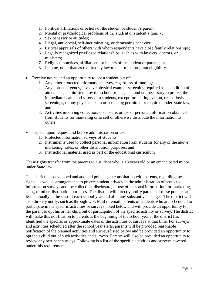- 1. Political affiliations or beliefs of the student or student's parent;
- 2. Mental or psychological problems of the student or student's family;
- 3. Sex behavior or attitudes;
- 4. Illegal, anti-social, self-incriminating, or demeaning behavior;
- 5. Critical appraisals of others with whom respondents have close family relationships;
- 6. Legally recognized privileged relationships, such as with lawyers, doctors, or ministers;
- 7. Religious practices, affiliations, or beliefs of the student or parents; or
- 8. Income, other than as required by law to determine program eligibility.
- Receive notice and an opportunity to opt a student out of:
	- 1. Any other protected information survey, regardless of funding;
	- 2. Any non-emergency, invasive physical exam or screening required as a condition of attendance, administered by the school or its agent, and not necessary to protect the immediate health and safety of a students, except for hearing, vision, or scoliosis screenings, or any physical exam or screening permitted or required under State law; and
	- 3. Activities involving collection, disclosure, or use of personal information obtained from students for marketing or to sell or otherwise distribute the information to others.
- Inspect, upon request and before administration or use:
	- 1. Protected information surveys of students;
	- 2. Instruments used to collect personal information from students for any of the above marketing, sales, or other distribution purposes; and
	- 3. Instructional material used as part of the educational curriculum

These rights transfer from the parents to a student who is 18 years old or an emancipated minor under State law.

The district has developed and adopted policies, in consultation with parents, regarding these rights, as well as arrangements to protect student privacy in the administration of protected information surveys and the collection, disclosure, or use of personal information for marketing, sales, or other distribution purposes. The district will directly notify parents of these policies at least annually at the start of each school year and after any substantive changes. The district will also directly notify, such as through U.S. Mail or email, parents of students who are scheduled to participate in the specific activities or surveys noted below and will provide an opportunity for the parent to opt his or her child out of participation of the specific activity or survey. The district will make this notification to parents at the beginning of the school year if the district has identified the specific or approximate dates of the activities or surveys at that time. For surveys and activities scheduled after the school year starts, parents will be provided reasonable notification of the planned activities and surveys listed below and be provided an opportunity to opt their child out of such activities and surveys. Parents will also be provided an opportunity to review any pertinent surveys. Following is a list of the specific activities and surveys covered under this requirement.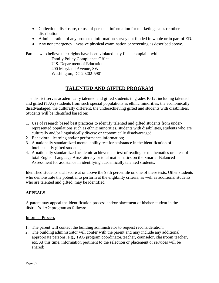- Collection, disclosure, or use of personal information for marketing, sales or other distribution.
- Administration of any protected information survey not funded in whole or in part of ED.
- Any nonemergency, invasive physical examination or screening as described above.

Parents who believe their rights have been violated may file a complaint with:

Family Policy Compliance Office U.S. Department of Education 400 Maryland Avenue, SW Washington, DC 20202-5901

# **TALENTED AND GIFTED PROGRAM**

<span id="page-56-0"></span>The district serves academically talented and gifted students in grades K-12, including talented and gifted (TAG) students from such special populations as ethnic minorities, the economically disadvantaged, the culturally different, the underachieving gifted and students with disabilities. Students will be identified based on:

- 1. Use of research based best practices to identify talented and gifted students from underrepresented populations such as ethnic minorities, students with disabilities, students who are culturally and/or linguistically diverse or economically disadvantaged;
- 2. Behavioral, learning and/or performance information;
- 3. A nationally standardized mental ability test for assistance in the identification of intellectually gifted students;
- 4. A nationally standardized academic achievement test of reading or mathematics or a test of total English Language Arts/Literacy or total mathematics on the Smarter Balanced Assessment for assistance in identifying academically talented students.

Identified students shall score at or above the 97th percentile on one of these tests. Other students who demonstrate the potential to perform at the eligibility criteria, as well as additional students who are talented and gifted, may be identified.

## <span id="page-56-1"></span>**APPEALS**

A parent may appeal the identification process and/or placement of his/her student in the district's TAG program as follows:

#### Informal Process

- 1. The parent will contact the building administrator to request reconsideration;
- 2. The building administrator will confer with the parent and may include any additional appropriate persons, e.g., TAG program coordinator/teacher, counselor, classroom teacher, etc. At this time, information pertinent to the selection or placement or services will be shared;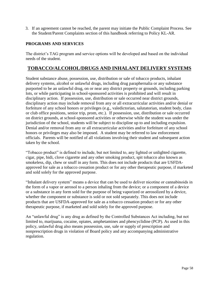3. If an agreement cannot be reached, the parent may initiate the Public Complaint Process. See the Student/Parent Complaints section of this handbook referring to Policy KL-AR.

#### <span id="page-57-0"></span>**PROGRAMS AND SERVICES**

The district's TAG program and service options will be developed and based on the individual needs of the student.

## <span id="page-57-1"></span>**TOBACCO/ALCOHOL/DRUGS AND INHALANT DELIVERY SYSTEMS**

Student substance abuse, possession, use, distribution or sale of tobacco products, inhalant delivery systems, alcohol or unlawful drugs, including drug paraphernalia or any substance purported to be an unlawful drug, on or near any district property or grounds, including parking lots, or while participating in school-sponsored activities is prohibited and will result in disciplinary action. If possession, use, distribution or sale occurred near district grounds, disciplinary action may include removal from any or all extracurricular activities and/or denial or forfeiture of any school honors or privileges (e.g., valedictorian, salutatorian, student body, class or club office positions, senior trip, prom, etc.). If possession, use, distribution or sale occurred on district grounds, at school-sponsored activities or otherwise while the student was under the jurisdiction of the school, students will be subject to discipline up to and including expulsion. Denial and/or removal from any or all extracurricular activities and/or forfeiture of any school honors or privileges may also be imposed. A student may be referred to law enforcement officials. Parents will be notified of all violations involving their student and subsequent action taken by the school.

"Tobacco product" is defined to include, but not limited to, any lighted or unlighted cigarette, cigar, pipe, bidi, clove cigarette and any other smoking product, spit tobacco also known as smokeless, dip, chew or snuff in any form. This does not include products that are USFDAapproved for sale as a tobacco cessation product or for any other therapeutic purpose, if marketed and sold solely for the approved purpose.

"Inhalant delivery system" means a device that can be used to deliver nicotine or cannabinoids in the form of a vapor or aerosol to a person inhaling from the device; or a component of a device or a substance in any form sold for the purpose of being vaporized or aerosolized by a device, whether the component or substance is sold or not sold separately. This does not include products that are USFDA-approved for sale as a tobacco cessation product or for any other therapeutic purpose, if marketed and sold solely for the approved purpose.

An "unlawful drug" is any drug as defined by the Controlled Substances Act including, but not limited to, marijuana, cocaine, opiates, amphetamines and phencyclidine (PCP). As used in this policy, unlawful drug also means possession, use, sale or supply of prescription and nonprescription drugs in violation of Board policy and any accompanying administrative regulation.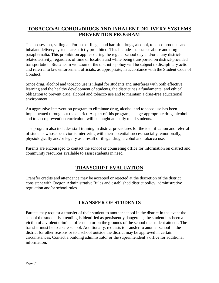# **TOBACCO/ALCOHOL/DRUGS AND INHALENT DELIVERY SYSTEMS PREVENTION PROGRAM**

The possession, selling and/or use of illegal and harmful drugs, alcohol, tobacco products and inhalant delivery systems are strictly prohibited. This includes substance abuse and drug paraphernalia. This prohibition applies during the regular school day and/or at any districtrelated activity, regardless of time or location and while being transported on district-provided transportation. Students in violation of the district's policy will be subject to disciplinary action and referral to law enforcement officials, as appropriate, in accordance with the Student Code of Conduct.

Since drug, alcohol and tobacco use is illegal for students and interferes with both effective learning and the healthy development of students, the district has a fundamental and ethical obligation to prevent drug, alcohol and tobacco use and to maintain a drug-free educational environment.

An aggressive intervention program to eliminate drug, alcohol and tobacco use has been implemented throughout the district. As part of this program, an age-appropriate drug, alcohol and tobacco prevention curriculum will be taught annually to all students.

The program also includes staff training in district procedures for the identification and referral of students whose behavior is interfering with their potential success socially, emotionally, physiologically and/or legally as a result of illegal drug, alcohol and tobacco use.

<span id="page-58-0"></span>Parents are encouraged to contact the school or counseling office for information on district and community resources available to assist students in need.

# **TRANSCRIPT EVALUATION**

Transfer credits and attendance may be accepted or rejected at the discretion of the district consistent with Oregon Administrative Rules and established district policy, administrative regulation and/or school rules.

## **TRANSFER OF STUDENTS**

<span id="page-58-1"></span>Parents may request a transfer of their student to another school in the district in the event the school the student is attending is identified as persistently dangerous; the student has been a victim of a violent criminal offense in or on the grounds of the school the student attends. The transfer must be to a safe school. Additionally, requests to transfer to another school in the district for other reasons or to a school outside the district may be approved in certain circumstances. Contact a building administrator or the superintendent's office for additional information.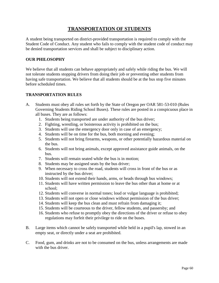## **TRANSPORTATION OF STUDENTS**

<span id="page-59-0"></span>A student being transported on district-provided transportation is required to comply with the Student Code of Conduct. Any student who fails to comply with the student code of conduct may be denied transportation services and shall be subject to disciplinary action.

## <span id="page-59-1"></span>**OUR PHILOSOPHY**

We believe that all students can behave appropriately and safely while riding the bus. We will not tolerate students stopping drivers from doing their job or preventing other students from having safe transportation. We believe that all students should be at the bus stop five minutes before scheduled times.

#### <span id="page-59-2"></span>**TRANSPORTATION RULES**

- A. Students must obey all rules set forth by the State of Oregon per OAR 581-53-010 (Rules Governing Students Riding School Buses). These rules are posted in a conspicuous place in all buses. They are as follows:
	- 1. Students being transported are under authority of the bus driver;
	- 2. Fighting, wrestling, or boisterous activity is prohibited on the bus;
	- 3. Students will use the emergency door only in case of an emergency;
	- 4. Students will be on time for the bus, both morning and evening;
	- 5. Students will not bring firearms, weapons, or other potentially hazardous material on the bus.
	- 6. Students will not bring animals, except approved assistance guide animals, on the bus.
	- 7. Students will remain seated while the bus is in motion;
	- 8. Students may be assigned seats by the bus driver;
	- 9. When necessary to cross the road, students will cross in front of the bus or as instructed by the bus driver;
	- 10. Students will not extend their hands, arms, or heads through bus windows;
	- 11. Students will have written permission to leave the bus other than at home or at school;
	- 12. Students will converse in normal tones; loud or vulgar language is prohibited;
	- 13. Students will not open or close windows without permission of the bus driver;
	- 14. Students will keep the bus clean and must refrain from damaging it;
	- 15. Students will be courteous to the driver, fellow students, and passersby; and
	- 16. Students who refuse to promptly obey the directions of the driver or refuse to obey regulations may forfeit their privilege to ride on the buses.
- B. Large items which cannot be safely transported while held in a pupil's lap, stowed in an empty seat, or directly under a seat are prohibited.
- C. Food, gum, and drinks are not to be consumed on the bus, unless arrangements are made with the bus driver.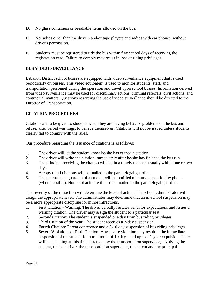- D. No glass containers or breakable items allowed on the bus.
- E. No radios other than the drivers and/or tape players and radios with ear phones, without driver's permission.
- F. Students must be registered to ride the bus within five school days of receiving the registration card. Failure to comply may result in loss of riding privileges.

## <span id="page-60-0"></span>**BUS VIDEO SURVEILLANCE**

Lebanon District school busses are equipped with video surveillance equipment that is used periodically on busses. This video equipment is used to monitor students, staff, and transportation personnel during the operation and travel upon school busses. Information derived from video surveillance may be used for disciplinary actions, criminal referrals, civil actions, and contractual matters. Questions regarding the use of video surveillance should be directed to the Director of Transportation.

#### <span id="page-60-1"></span>**CITATION PROCEDURES**

Citations are to be given to students when they are having behavior problems on the bus and refuse, after verbal warnings, to behave themselves. Citations will not be issued unless students clearly fail to comply with the rules.

Our procedure regarding the issuance of citations is as follows:

- 1. The driver will let the student know he/she has earned a citation.
- 2. The driver will write the citation immediately after he/she has finished the bus run.
- 3. The principal receiving the citation will act in a timely manner, usually within one or two days.
- 4. A copy of all citations will be mailed to the parent/legal guardian.
- 5. The parent/legal guardian of a student will be notified of a bus suspension by phone (when possible). Notice of action will also be mailed to the parent/legal guardian.

The severity of the infraction will determine the level of action. The school administrator will assign the appropriate level. The administrator may determine that an in-school suspension may be a more appropriate discipline for minor infractions.

- 1. First Citation Warning: The driver verbally restates behavior expectations and issues a warning citation. The driver may assign the student to a particular seat.
- 2. Second Citation: The student is suspended one day from bus riding privileges
- 3. Third Citation of the year: The student receives a 3-day suspension.
- 4. Fourth Citation: Parent conference and a 5-10 day suspension of bus riding privileges.
- 5. Severe Violations or Fifth Citation: Any severe violation may result in the immediate suspension of the student for a minimum of 10 days, and up to a 1-year expulsion. There will be a hearing at this time, arranged by the transportation supervisor, involving the student, the bus driver, the transportation supervisor, the parent and the principal.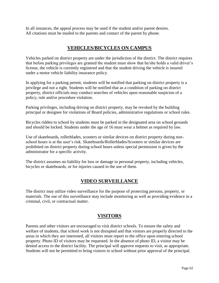<span id="page-61-0"></span>In all instances, the appeal process may be used if the student and/or parent desires. All citations must be mailed to the parents and contact of the parent by phone.

## **VEHICLES/BICYCLES ON CAMPUS**

Vehicles parked on district property are under the jurisdiction of the district. The district requires that before parking privileges are granted the student must show that he/she holds a valid driver's license, the vehicle is currently registered and that the student driving the vehicle is insured under a motor vehicle liability insurance policy.

In applying for a parking permit, students will be notified that parking on district property is a privilege and not a right. Students will be notified that as a condition of parking on district property, district officials may conduct searches of vehicles upon reasonable suspicion of a policy, rule and/or procedure violation.

Parking privileges, including driving on district property, may be revoked by the building principal or designee for violations of Board policies, administrative regulations or school rules.

Bicycles ridden to school by students must be parked in the designated area on school grounds and should be locked. Students under the age of 16 must wear a helmet as required by law.

Use of skateboards, rollerblades, scooters or similar devices on district property during nonschool hours is at the user's risk. Skateboards/Rollerblades/Scooters or similar devices are prohibited on district property during school hours unless special permission is given by the administrator for a specific activity.

<span id="page-61-1"></span>The district assumes no liability for loss or damage to personal property, including vehicles, bicycles or skateboards, or for injuries caused in the use of them.

## **VIDEO SURVEILLANCE**

The district may utilize video surveillance for the purpose of protecting persons, property, or materials. The use of this surveillance may include monitoring as well as providing evidence in a criminal, civil, or contractual matter.

## **VISITORS**

<span id="page-61-2"></span>Parents and other visitors are encouraged to visit district schools. To ensure the safety and welfare of students, that school work is not disrupted and that visitors are properly directed to the areas in which they are interested, all visitors must report to the office upon entering school property. Photo ID of visitors may be requested. In the absence of photo ID, a visitor may be denied access to the district facility. The principal will approve requests to visit, as appropriate. Students will not be permitted to bring visitors to school without prior approval of the principal.